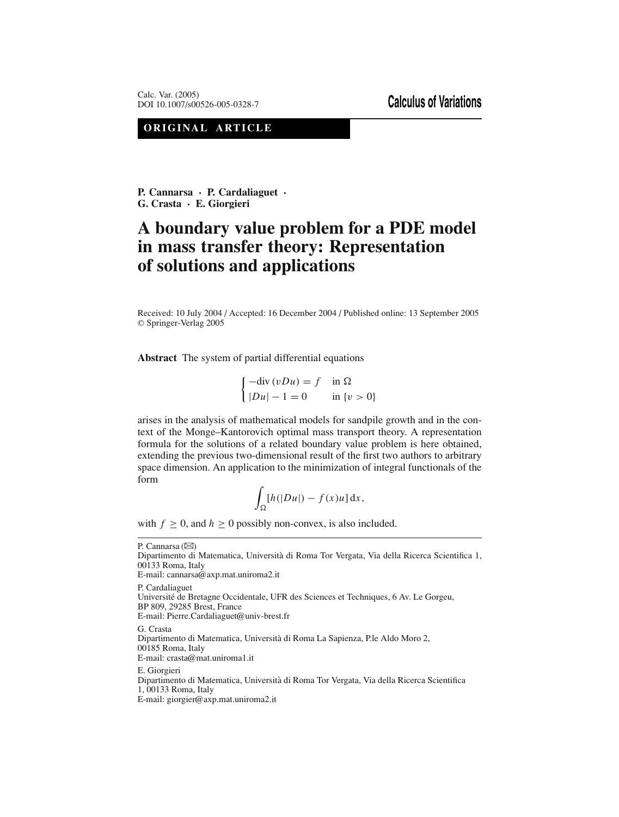**ORIGINAL ARTICLE**

**P. Cannarsa · P. Cardaliaguet · G. Crasta · E. Giorgieri**

# **A boundary value problem for a PDE model in mass transfer theory: Representation of solutions and applications**

Received: 10 July 2004 / Accepted: 16 December 2004 / Published online: 13 September 2005 <sup>C</sup> Springer-Verlag 2005

**Abstract** The system of partial differential equations

 $\int -\text{div}(vDu) = f$  in  $\Omega$  $|Du| - 1 = 0$  in  $\{v > 0\}$ 

arises in the analysis of mathematical models for sandpile growth and in the context of the Monge–Kantorovich optimal mass transport theory. A representation formula for the solutions of a related boundary value problem is here obtained, extending the previous two-dimensional result of the first two authors to arbitrary space dimension. An application to the minimization of integral functionals of the form

$$
\int_{\Omega} [h(|Du|) - f(x)u] \, \mathrm{d}x,
$$

with  $f \geq 0$ , and  $h \geq 0$  possibly non-convex, is also included.

P. Cannarsa  $(\boxtimes)$ Dipartimento di Matematica, Universita di Roma Tor Vergata, Via della Ricerca Scientifica 1, ` 00133 Roma, Italy E-mail: cannarsa@axp.mat.uniroma2.it P. Cardaliaguet Universite de Bretagne Occidentale, UFR des Sciences et Techniques, 6 Av. Le Gorgeu, ´ BP 809, 29285 Brest, France E-mail: Pierre.Cardaliaguet@univ-brest.fr G. Crasta Dipartimento di Matematica, Universita di Roma La Sapienza, P.le Aldo Moro 2, ` 00185 Roma, Italy E-mail: crasta@mat.uniroma1.it E. Giorgieri Dipartimento di Matematica, Universita di Roma Tor Vergata, Via della Ricerca Scientifica ` 1, 00133 Roma, Italy

E-mail: giorgier@axp.mat.uniroma2.it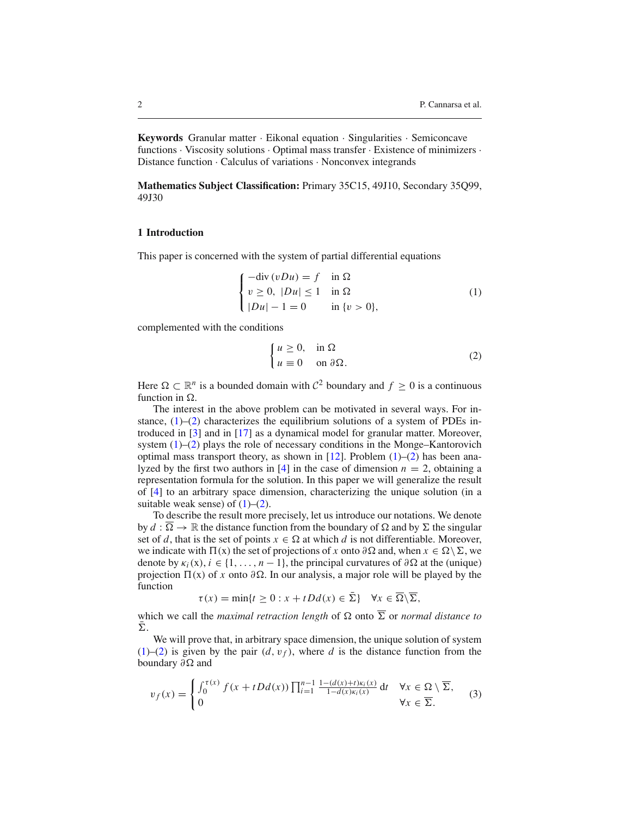**Keywords** Granular matter · Eikonal equation · Singularities · Semiconcave functions · Viscosity solutions · Optimal mass transfer · Existence of minimizers · Distance function · Calculus of variations · Nonconvex integrands

**Mathematics Subject Classification:** Primary 35C15, 49J10, Secondary 35Q99, 49J30

### **1 Introduction**

This paper is concerned with the system of partial differential equations

<span id="page-1-1"></span><span id="page-1-0"></span>
$$
\begin{cases}\n-\text{div}(vDu) = f & \text{in } \Omega \\
v \ge 0, \ |Du| \le 1 & \text{in } \Omega \\
|Du| - 1 = 0 & \text{in } \{v > 0\},\n\end{cases}
$$
\n(1)

complemented with the conditions

$$
\begin{cases}\n u \ge 0, & \text{in } \Omega \\
 u \equiv 0 & \text{on } \partial \Omega.\n\end{cases}
$$
\n(2)

Here  $\Omega \subset \mathbb{R}^n$  is a bounded domain with  $C^2$  boundary and  $f > 0$  is a continuous function in  $\Omega$ .

The interest in the above problem can be motivated in several ways. For instance,  $(1)$ – $(2)$  characterizes the equilibrium solutions of a system of PDEs introduced in [\[3](#page-26-0)] and in [\[17\]](#page-26-1) as a dynamical model for granular matter. Moreover, system  $(1)$ – $(2)$  plays the role of necessary conditions in the Monge–Kantorovich optimal mass transport theory, as shown in [\[12](#page-26-2)]. Problem  $(1)$ – $(2)$  has been ana-lyzed by the first two authors in [\[4](#page-26-3)] in the case of dimension  $n = 2$ , obtaining a representation formula for the solution. In this paper we will generalize the result of [\[4\]](#page-26-3) to an arbitrary space dimension, characterizing the unique solution (in a suitable weak sense) of  $(1)$ – $(2)$ .

To describe the result more precisely, let us introduce our notations. We denote by  $d : \overline{\Omega} \to \mathbb{R}$  the distance function from the boundary of  $\Omega$  and by  $\Sigma$  the singular set of *d*, that is the set of points  $x \in \Omega$  at which *d* is not differentiable. Moreover, we indicate with  $\Pi(x)$  the set of projections of *x* onto ∂ $\Omega$  and, when  $x \in \Omega \setminus \Sigma$ , we denote by  $\kappa_i(x)$ ,  $i \in \{1, ..., n-1\}$ , the principal curvatures of  $\partial \Omega$  at the (unique) projection  $\Pi(x)$  of *x* onto  $\partial\Omega$ . In our analysis, a major role will be played by the function

$$
\tau(x) = \min\{t \ge 0 : x + tDd(x) \in \overline{\Sigma}\} \quad \forall x \in \overline{\Omega} \setminus \overline{\Sigma},
$$

which we call the *maximal retraction length* of  $\Omega$  onto  $\overline{\Sigma}$  or *normal distance to*  $\Sigma$ .

We will prove that, in arbitrary space dimension, the unique solution of system [\(1\)](#page-1-0)–[\(2\)](#page-1-1) is given by the pair  $(d, v_f)$ , where *d* is the distance function from the boundary  $\partial \Omega$  and

<span id="page-1-2"></span>
$$
v_f(x) = \begin{cases} \int_0^{\tau(x)} f(x + tDd(x)) \prod_{i=1}^{n-1} \frac{1 - (d(x) + t)\kappa_i(x)}{1 - d(x)\kappa_i(x)} dt & \forall x \in \Omega \setminus \overline{\Sigma}, \\ 0 & \forall x \in \overline{\Sigma}. \end{cases}
$$
(3)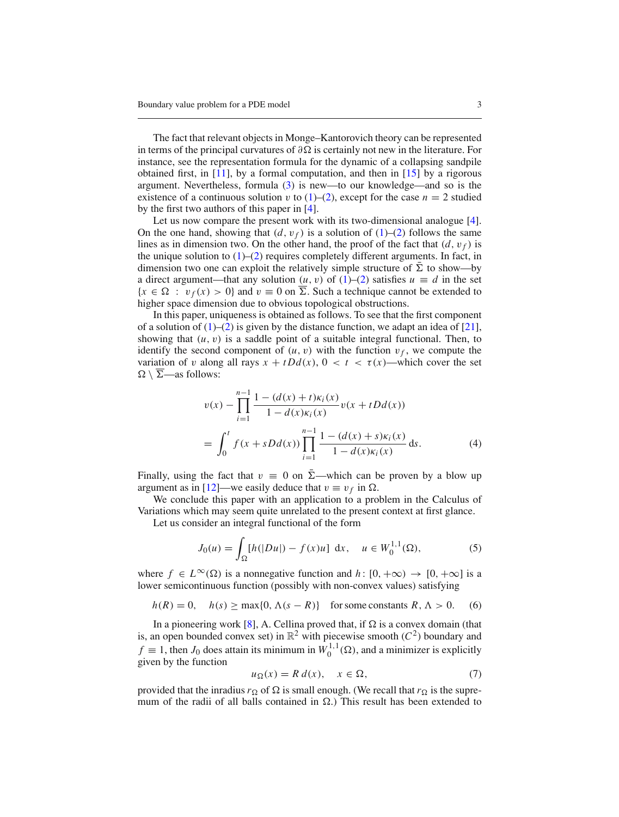The fact that relevant objects in Monge–Kantorovich theory can be represented in terms of the principal curvatures of  $\partial \Omega$  is certainly not new in the literature. For instance, see the representation formula for the dynamic of a collapsing sandpile obtained first, in  $[11]$ , by a formal computation, and then in  $[15]$  by a rigorous argument. Nevertheless, formula [\(3\)](#page-1-2) is new—to our knowledge—and so is the existence of a continuous solution v to  $(1)$ – $(2)$ , except for the case  $n = 2$  studied by the first two authors of this paper in [\[4\]](#page-26-3).

Let us now compare the present work with its two-dimensional analogue [\[4](#page-26-3)]. On the one hand, showing that  $(d, v_f)$  is a solution of  $(1)$ – $(2)$  follows the same lines as in dimension two. On the other hand, the proof of the fact that  $(d, v_f)$  is the unique solution to  $(1)$ – $(2)$  requires completely different arguments. In fact, in dimension two one can exploit the relatively simple structure of  $\Sigma$  to show—by a direct argument—that any solution  $(u, v)$  of  $(1)$ – $(2)$  satisfies  $u \equiv d$  in the set  ${x \in \Omega : v_f(x) > 0}$  and  $v \equiv 0$  on  $\overline{\Sigma}$ . Such a technique cannot be extended to higher space dimension due to obvious topological obstructions.

In this paper, uniqueness is obtained as follows. To see that the first component of a solution of  $(1)$ – $(2)$  is given by the distance function, we adapt an idea of  $[21]$  $[21]$ , showing that  $(u, v)$  is a saddle point of a suitable integral functional. Then, to identify the second component of  $(u, v)$  with the function  $v_f$ , we compute the variation of v along all rays  $x + tDd(x)$ ,  $0 < t < \tau(x)$ —which cover the set  $\Omega \setminus \overline{\Sigma}$ —as follows:

$$
v(x) - \prod_{i=1}^{n-1} \frac{1 - (d(x) + t)\kappa_i(x)}{1 - d(x)\kappa_i(x)} v(x + tDd(x))
$$
  
= 
$$
\int_0^t f(x + sDd(x)) \prod_{i=1}^{n-1} \frac{1 - (d(x) + s)\kappa_i(x)}{1 - d(x)\kappa_i(x)} ds.
$$
 (4)

Finally, using the fact that  $v = 0$  on  $\bar{\Sigma}$ —which can be proven by a blow up argument as in [\[12](#page-26-2)]—we easily deduce that  $v \equiv v_f$  in  $\Omega$ .

We conclude this paper with an application to a problem in the Calculus of Variations which may seem quite unrelated to the present context at first glance.

Let us consider an integral functional of the form

<span id="page-2-1"></span>
$$
J_0(u) = \int_{\Omega} [h(|Du|) - f(x)u] \, dx, \quad u \in W_0^{1,1}(\Omega), \tag{5}
$$

where  $f \in L^{\infty}(\Omega)$  is a nonnegative function and  $h: [0, +\infty) \to [0, +\infty]$  is a lower semicontinuous function (possibly with non-convex values) satisfying

$$
h(R) = 0
$$
,  $h(s) \ge \max\{0, \Lambda(s - R)\}\$  for some constants  $R, \Lambda > 0$ . (6)

In a pioneering work [\[8\]](#page-26-7), A. Cellina proved that, if  $\Omega$  is a convex domain (that is, an open bounded convex set) in  $\mathbb{R}^2$  with piecewise smooth ( $C^2$ ) boundary and  $f \equiv 1$ , then *J*<sub>0</sub> does attain its minimum in  $W_0^{1,1}(\Omega)$ , and a minimizer is explicitly given by the function

$$
u_{\Omega}(x) = R d(x), \quad x \in \Omega,
$$
 (7)

<span id="page-2-0"></span>provided that the inradius  $r_{\Omega}$  of  $\Omega$  is small enough. (We recall that  $r_{\Omega}$  is the supremum of the radii of all balls contained in  $\Omega$ .) This result has been extended to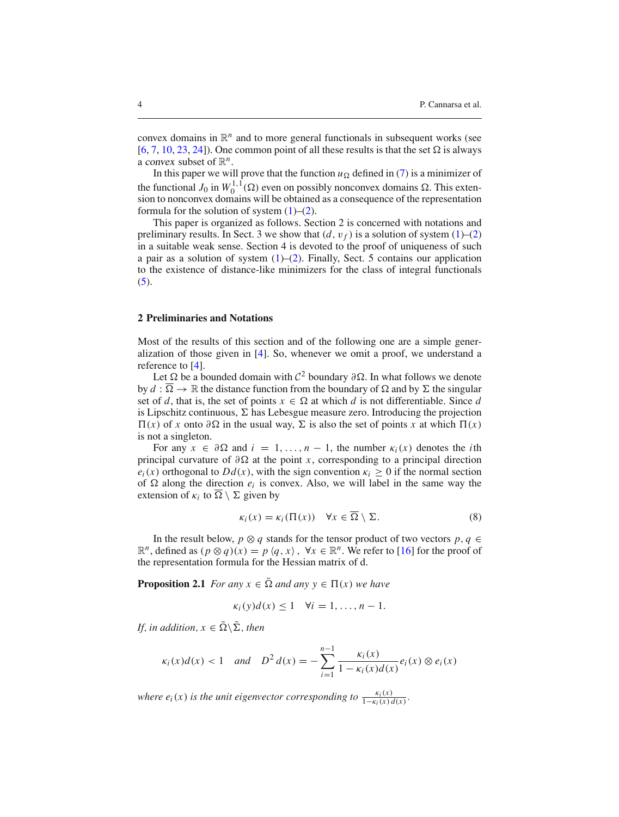convex domains in  $\mathbb{R}^n$  and to more general functionals in subsequent works (see [\[6,](#page-26-8) [7,](#page-26-9) [10](#page-26-10), [23](#page-26-11), [24](#page-26-12)]). One common point of all these results is that the set  $\Omega$  is always a convex subset of  $\mathbb{R}^n$ .

In this paper we will prove that the function  $u_{\Omega}$  defined in [\(7\)](#page-2-0) is a minimizer of the functional  $J_0$  in  $W_0^{1,1}(\Omega)$  even on possibly nonconvex domains  $\Omega$ . This extension to nonconvex domains will be obtained as a consequence of the representation formula for the solution of system  $(1)$ – $(2)$ .

This paper is organized as follows. Section 2 is concerned with notations and preliminary results. In Sect. 3 we show that  $(d, v_f)$  is a solution of system  $(1)$ – $(2)$ in a suitable weak sense. Section 4 is devoted to the proof of uniqueness of such a pair as a solution of system  $(1)$ – $(2)$ . Finally, Sect. 5 contains our application to the existence of distance-like minimizers for the class of integral functionals  $(5).$  $(5).$ 

### **2 Preliminaries and Notations**

Most of the results of this section and of the following one are a simple generalization of those given in [\[4](#page-26-3)]. So, whenever we omit a proof, we understand a reference to [\[4\]](#page-26-3).

Let  $\Omega$  be a bounded domain with  $\mathcal{C}^2$  boundary ∂ $\Omega$ . In what follows we denote by  $d : \overline{\Omega} \to \mathbb{R}$  the distance function from the boundary of  $\Omega$  and by  $\Sigma$  the singular set of *d*, that is, the set of points  $x \in \Omega$  at which *d* is not differentiable. Since *d* is Lipschitz continuous,  $\Sigma$  has Lebesgue measure zero. Introducing the projection  $\Pi(x)$  of *x* onto  $\partial \Omega$  in the usual way,  $\Sigma$  is also the set of points *x* at which  $\Pi(x)$ is not a singleton.

For any  $x \in \partial \Omega$  and  $i = 1, \ldots, n-1$ , the number  $\kappa_i(x)$  denotes the *i*th principal curvature of  $\partial \Omega$  at the point *x*, corresponding to a principal direction  $e_i(x)$  orthogonal to  $Dd(x)$ , with the sign convention  $\kappa_i \geq 0$  if the normal section of  $\Omega$  along the direction  $e_i$  is convex. Also, we will label in the same way the extension of  $\kappa_i$  to  $\overline{\Omega} \setminus \Sigma$  given by

$$
\kappa_i(x) = \kappa_i(\Pi(x)) \quad \forall x \in \overline{\Omega} \setminus \Sigma. \tag{8}
$$

In the result below, *p*  $\otimes$  *q* stands for the tensor product of two vectors *p*, *q* ∈  $\mathbb{R}^n$ , defined as  $(p \otimes q)(x) = p \langle q, x \rangle$ ,  $\forall x \in \mathbb{R}^n$ . We refer to [\[16](#page-26-13)] for the proof of the representation formula for the Hessian matrix of d.

<span id="page-3-0"></span>**Proposition 2.1** *For any*  $x \in \overline{\Omega}$  *and any*  $y \in \Pi(x)$  *we have* 

$$
\kappa_i(y)d(x) \leq 1 \quad \forall i=1,\ldots,n-1.
$$

*If, in addition,*  $x \in \overline{\Omega} \setminus \overline{\Sigma}$ *, then* 

$$
\kappa_i(x)d(x) < 1
$$
 and  $D^2 d(x) = -\sum_{i=1}^{n-1} \frac{\kappa_i(x)}{1 - \kappa_i(x)d(x)} e_i(x) \otimes e_i(x)$ 

*where*  $e_i(x)$  *is the unit eigenvector corresponding to*  $\frac{\kappa_i(x)}{1-\kappa_i(x) d(x)}$ *.*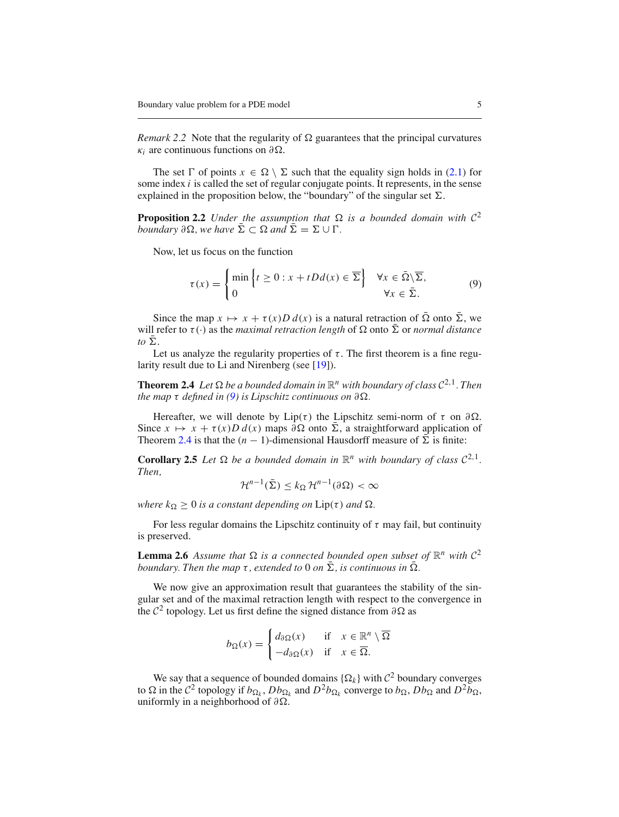*Remark 2.2* Note that the regularity of  $\Omega$  guarantees that the principal curvatures  $\kappa_i$  are continuous functions on  $\partial \Omega$ .

The set  $\Gamma$  of points  $x \in \Omega \setminus \Sigma$  such that the equality sign holds in [\(2.1\)](#page-3-0) for some index *i* is called the set of regular conjugate points. It represents, in the sense explained in the proposition below, the "boundary" of the singular set  $\Sigma$ .

<span id="page-4-2"></span>**Proposition 2.2** *Under the assumption that*  $\Omega$  *is a bounded domain with*  $C^2$ *boundary*  $\partial \Omega$ *, we have*  $\overline{\Sigma} \subset \Omega$  *and*  $\overline{\Sigma} = \Sigma \cup \Gamma$ *.* 

Now, let us focus on the function

<span id="page-4-1"></span><span id="page-4-0"></span>
$$
\tau(x) = \begin{cases} \min \left\{ t \ge 0 : x + tDd(x) \in \overline{\Sigma} \right\} & \forall x \in \overline{\Omega} \setminus \overline{\Sigma}, \\ 0 & \forall x \in \overline{\Sigma}. \end{cases}
$$
(9)

Since the map  $x \mapsto x + \tau(x)D d(x)$  is a natural retraction of  $\overline{\Omega}$  onto  $\overline{\Sigma}$ , we will refer to  $\tau(\cdot)$  as the *maximal retraction length* of  $\Omega$  onto  $\overline{\Sigma}$  or *normal distance to*  $\bar{\Sigma}$ .

Let us analyze the regularity properties of  $\tau$ . The first theorem is a fine regu-larity result due to Li and Nirenberg (see [\[19\]](#page-26-14)).

**Theorem 2.4** *Let*  $\Omega$  *be a bounded domain in*  $\mathbb{R}^n$  *with boundary of class*  $C^{2,1}$ *. Then the map*  $\tau$  *defined in* [\(9\)](#page-4-0) *is Lipschitz continuous on*  $\partial \Omega$ *.* 

Hereafter, we will denote by Lip(τ) the Lipschitz semi-norm of  $\tau$  on  $\partial\Omega$ . Since  $x \mapsto x + \tau(x)D d(x)$  maps  $\partial \Omega$  onto  $\overline{\Sigma}$ , a straightforward application of Theorem [2.4](#page-4-1) is that the  $(n - 1)$ -dimensional Hausdorff measure of  $\overline{\Sigma}$  is finite:

**Corollary 2.5** *Let*  $\Omega$  *be a bounded domain in*  $\mathbb{R}^n$  *with boundary of class*  $C^{2,1}$ *. Then,*

<span id="page-4-3"></span>
$$
\mathcal{H}^{n-1}(\bar{\Sigma}) \le k_{\Omega} \mathcal{H}^{n-1}(\partial \Omega) < \infty
$$

*where*  $k_{\Omega} \geq 0$  *is a constant depending on*  $Lip(\tau)$  *and*  $\Omega$ *.* 

For less regular domains the Lipschitz continuity of  $\tau$  may fail, but continuity is preserved.

**Lemma 2.6** Assume that  $\Omega$  is a connected bounded open subset of  $\mathbb{R}^n$  with  $C^2$ *boundary. Then the map*  $\tau$ , *extended to* 0 *on*  $\Sigma$ , *is continuous in*  $\Omega$ *.* 

We now give an approximation result that guarantees the stability of the singular set and of the maximal retraction length with respect to the convergence in the  $\mathcal{C}^2$  topology. Let us first define the signed distance from  $\partial \Omega$  as

<span id="page-4-4"></span>
$$
b_{\Omega}(x) = \begin{cases} d_{\partial \Omega}(x) & \text{if } x \in \mathbb{R}^n \setminus \overline{\Omega} \\ -d_{\partial \Omega}(x) & \text{if } x \in \overline{\Omega}. \end{cases}
$$

We say that a sequence of bounded domains  $\{\Omega_k\}$  with  $\mathcal{C}^2$  boundary converges to  $\Omega$  in the  $C^2$  topology if  $b_{\Omega_k}$ ,  $Db_{\Omega_k}$  and  $D^2b_{\Omega_k}$  converge to  $b_{\Omega}$ ,  $Db_{\Omega}$  and  $D^2b_{\Omega_k}$ , uniformly in a neighborhood of  $\partial\Omega$ .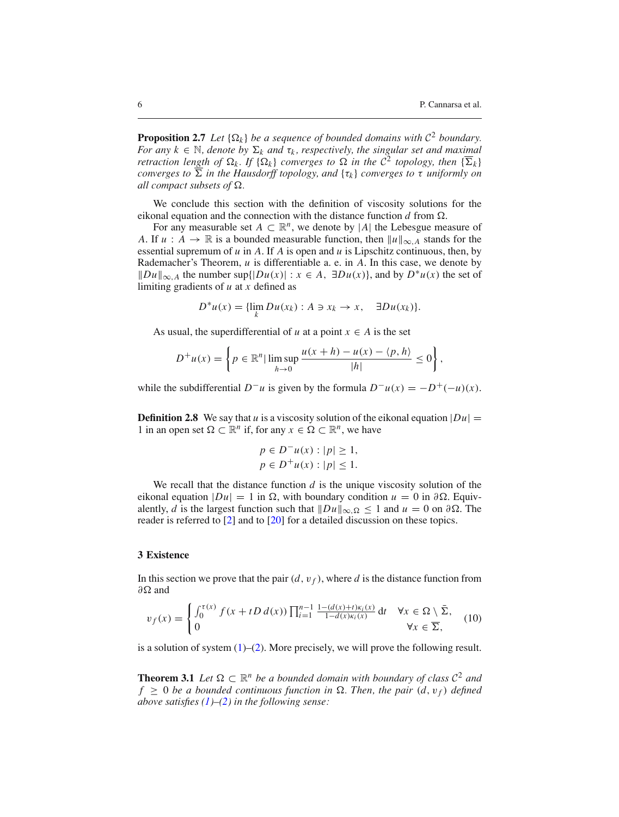**Proposition 2.7** *Let*  $\{\Omega_k\}$  *be a sequence of bounded domains with*  $C^2$  *boundary. For any*  $k \in \mathbb{N}$ , denote by  $\Sigma_k$  and  $\tau_k$ , respectively, the singular set and maximal *retraction length of*  $\Omega_k$ . If  $\{\Omega_k\}$  *converges to*  $\Omega$  *in the*  $C^2$  *topology, then*  $\{\overline{\Sigma}_k\}$ *converges to*  $\overline{\Sigma}$  *in the Hausdorff topology, and*  $\{\tau_k\}$  *converges to*  $\tau$  *uniformly on all compact subsets of*  $\Omega$ *.* 

We conclude this section with the definition of viscosity solutions for the eikonal equation and the connection with the distance function  $d$  from  $\Omega$ .

For any measurable set  $A \subset \mathbb{R}^n$ , we denote by |A| the Lebesgue measure of *A*. If  $u : A \rightarrow \mathbb{R}$  is a bounded measurable function, then  $||u||_{\infty, A}$  stands for the essential supremum of *u* in *A*. If *A* is open and *u* is Lipschitz continuous, then, by Rademacher's Theorem, *u* is differentiable a. e. in *A*. In this case, we denote by  $||Du||_{\infty}$ , *A* the number sup{ $|Du(x)|$  : *x* ∈ *A*, ∃*Du(x)*}, and by  $D^*u(x)$  the set of limiting gradients of *u* at *x* defined as

$$
D^*u(x) = \{\lim_k Du(x_k) : A \ni x_k \to x, \quad \exists Du(x_k)\}.
$$

As usual, the superdifferential of *u* at a point  $x \in A$  is the set

$$
D^+u(x) = \left\{ p \in \mathbb{R}^n \mid \limsup_{h \to 0} \frac{u(x+h) - u(x) - \langle p, h \rangle}{|h|} \le 0 \right\},\,
$$

while the subdifferential  $D^-u$  is given by the formula  $D^-u(x) = -D^+(-u)(x)$ .

**Definition 2.8** We say that *u* is a viscosity solution of the eikonal equation  $|Du|$  = 1 in an open set  $\Omega \subset \mathbb{R}^n$  if, for any  $x \in \Omega \subset \mathbb{R}^n$ , we have

$$
p \in D^{-}u(x) : |p| \ge 1,
$$
  

$$
p \in D^{+}u(x) : |p| \le 1.
$$

We recall that the distance function  $d$  is the unique viscosity solution of the eikonal equation  $|Du| = 1$  in  $\Omega$ , with boundary condition  $u = 0$  in  $\partial \Omega$ . Equivalently, *d* is the largest function such that  $\|Du\|_{\infty,\Omega} \le 1$  and  $u = 0$  on  $\partial\Omega$ . The reader is referred to [\[2](#page-26-15)] and to [\[20](#page-26-16)] for a detailed discussion on these topics.

### **3 Existence**

<span id="page-5-1"></span>In this section we prove that the pair  $(d, v_f)$ , where *d* is the distance function from  $\partial \Omega$  and

$$
v_f(x) = \begin{cases} \int_0^{\tau(x)} f(x + tD d(x)) \prod_{i=1}^{n-1} \frac{1 - (d(x) + t)\kappa_i(x)}{1 - d(x)\kappa_i(x)} dt & \forall x \in \Omega \setminus \bar{\Sigma}, \\ 0 & \forall x \in \overline{\Sigma}, \end{cases}
$$
(10)

<span id="page-5-0"></span>is a solution of system  $(1)$ – $(2)$ . More precisely, we will prove the following result.

**Theorem 3.1** *Let*  $\Omega \subset \mathbb{R}^n$  *be a bounded domain with boundary of class*  $C^2$  *and*  $f \geq 0$  *be a bounded continuous function in*  $\Omega$ *. Then, the pair*  $(d, v_f)$  *defined above satisfies [\(1\)](#page-1-0)–[\(2\)](#page-1-1) in the following sense:*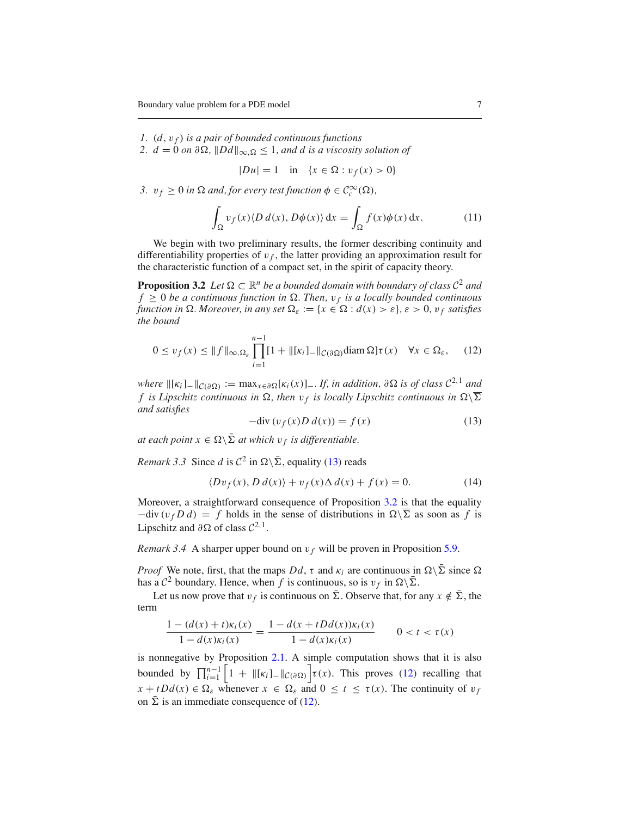*1.* (*d*,v *<sup>f</sup>* ) *is a pair of bounded continuous functions*

*2. d* = 0 *on* ∂Ω,  $||Dd||_{∞,Ω ≤ 1$ , *and d is a viscosity solution of* 

<span id="page-6-3"></span> $|Du| = 1$  in  $\{x \in \Omega : v_f(x) > 0\}$ 

*3.*  $v_f \geq 0$  *in*  $\Omega$  *and, for every test function*  $\phi \in C_c^{\infty}(\Omega)$ *,* 

$$
\int_{\Omega} v_f(x) \langle D d(x), D\phi(x) \rangle \, \mathrm{d}x = \int_{\Omega} f(x) \phi(x) \, \mathrm{d}x. \tag{11}
$$

We begin with two preliminary results, the former describing continuity and differentiability properties of  $v_f$ , the latter providing an approximation result for the characteristic function of a compact set, in the spirit of capacity theory.

<span id="page-6-1"></span>**Proposition 3.2** *Let*  $\Omega \subset \mathbb{R}^n$  *be a bounded domain with boundary of class*  $C^2$  *and*  $f \geq 0$  *be a continuous function in*  $\Omega$ . Then,  $v_f$  *is a locally bounded continuous function in*  $\Omega$ *. Moreover, in any set*  $\Omega_{\varepsilon} := \{x \in \Omega : d(x) > \varepsilon\}, \varepsilon > 0, v_f$  satisfies *the bound*

$$
0 \le v_f(x) \le ||f||_{\infty, \Omega_{\varepsilon}} \prod_{i=1}^{n-1} [1 + ||[\kappa_i]_{-}||_{\mathcal{C}(\partial \Omega)} \text{diam}\,\Omega] \tau(x) \quad \forall x \in \Omega_{\varepsilon}, \quad (12)
$$

*where*  $\|K_i\| - C(\partial\Omega) := \max_{x \in \partial\Omega} [K_i(x)] - H_j$ , *in addition,*  $\partial\Omega$  *is of class*  $C^{2,1}$  *and f* is Lipschitz continuous in  $\Omega$ , then  $v_f$  is locally Lipschitz continuous in  $\Omega\setminus\overline{\Sigma}$ *and satisfies*

<span id="page-6-2"></span>
$$
-div (v_f(x)D d(x)) = f(x)
$$
 (13)

<span id="page-6-0"></span>*at each point*  $x \in \Omega \setminus \overline{\Sigma}$  *at which*  $v_f$  *is differentiable.* 

*Remark 3.3* Since *d* is  $C^2$  in  $\Omega \setminus \overline{\Sigma}$ , equality [\(13\)](#page-6-0) reads

$$
\langle Dv_f(x), D d(x) \rangle + v_f(x) \Delta d(x) + f(x) = 0. \tag{14}
$$

Moreover, a straightforward consequence of Proposition [3.2](#page-4-2) is that the equality  $-div (v_f D d) = f$  holds in the sense of distributions in  $\Omega \backslash \overline{\Sigma}$  as soon as f is Lipschitz and  $\partial \Omega$  of class  $C^{2,1}$ .

*Remark 3.4* A sharper upper bound on  $v_f$  will be proven in Proposition [5.9.](#page-23-0)

*Proof* We note, first, that the maps  $Dd$ ,  $\tau$  and  $\kappa_i$  are continuous in  $\Omega \setminus \overline{\Sigma}$  since  $\Omega$ has a  $\mathcal{C}^2$  boundary. Hence, when *f* is continuous, so is  $v_f$  in  $\Omega \setminus \overline{\Sigma}$ .

Let us now prove that  $v_f$  is continuous on  $\bar{\Sigma}$ . Observe that, for any  $x \notin \bar{\Sigma}$ , the term

$$
\frac{1 - (d(x) + t)\kappa_i(x)}{1 - d(x)\kappa_i(x)} = \frac{1 - d(x + tDd(x))\kappa_i(x)}{1 - d(x)\kappa_i(x)} \qquad 0 < t < \tau(x)
$$

is nonnegative by Proposition [2.1.](#page-3-0) A simple computation shows that it is also bounded by  $\prod_{i=1}^{n-1} \left[1 + ||\kappa_i||_-\||_{\mathcal{C}(\partial\Omega)}\right] \tau(x)$ . This proves [\(12\)](#page-6-1) recalling that  $x + tDd(x) \in \Omega$ <sub>c</sub> whenever  $x \in \Omega$ <sub>c</sub> and  $0 \le t \le \tau(x)$ . The continuity of  $v_f$ on  $\bar{\Sigma}$  is an immediate consequence of [\(12\)](#page-6-1).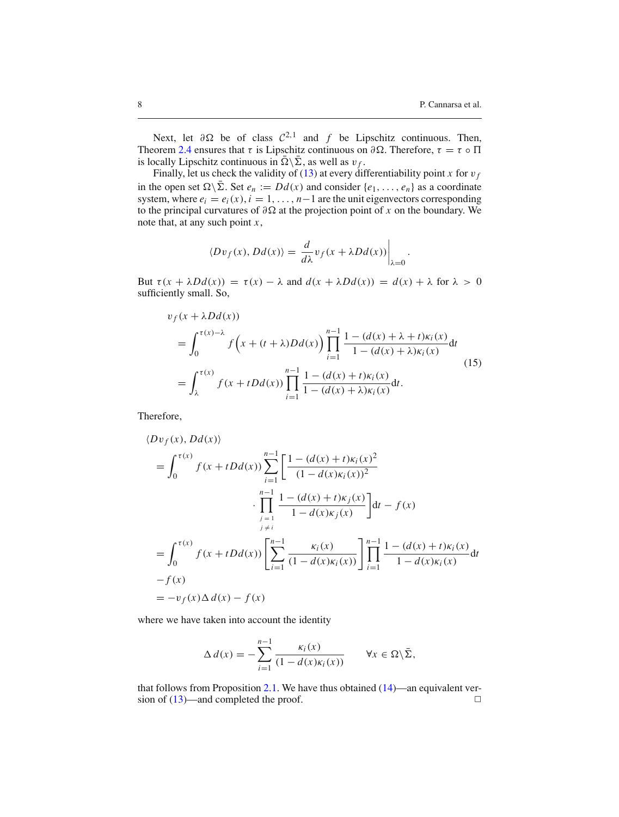.

Next, let  $\partial \Omega$  be of class  $C^{2,1}$  and f be Lipschitz continuous. Then, Theorem [2.4](#page-4-1) ensures that  $\tau$  is Lipschitz continuous on  $\partial \Omega$ . Therefore,  $\tau = \tau \circ \Pi$ is locally Lipschitz continuous in  $\bar{\Omega} \backslash \bar{\Sigma}$ , as well as  $v_f$ .

Finally, let us check the validity of [\(13\)](#page-6-0) at every differentiability point *x* for  $v_f$ in the open set  $\Omega \backslash \bar{\Sigma}$ . Set  $e_n := Dd(x)$  and consider  $\{e_1, \ldots, e_n\}$  as a coordinate system, where  $e_i = e_i(x)$ ,  $i = 1, \ldots, n-1$  are the unit eigenvectors corresponding to the principal curvatures of  $\partial \Omega$  at the projection point of *x* on the boundary. We note that, at any such point *x*,

$$
\langle Dv_f(x), Dd(x) \rangle = \frac{d}{d\lambda} v_f(x + \lambda Dd(x)) \Big|_{\lambda=0}
$$

But  $\tau(x + \lambda Dd(x)) = \tau(x) - \lambda$  and  $d(x + \lambda Dd(x)) = d(x) + \lambda$  for  $\lambda > 0$ sufficiently small. So,

$$
v_f(x + \lambda Dd(x))
$$
  
=  $\int_0^{\tau(x)-\lambda} f(x + (t + \lambda)Dd(x)) \prod_{i=1}^{n-1} \frac{1 - (d(x) + \lambda + t)\kappa_i(x)}{1 - (d(x) + \lambda)\kappa_i(x)} dt$   
=  $\int_{\lambda}^{\tau(x)} f(x + tDd(x)) \prod_{i=1}^{n-1} \frac{1 - (d(x) + t)\kappa_i(x)}{1 - (d(x) + \lambda)\kappa_i(x)} dt.$  (15)

Therefore,

$$
\langle Dv_f(x), Dd(x) \rangle
$$
  
=  $\int_0^{\tau(x)} f(x + tDd(x)) \sum_{i=1}^{n-1} \left[ \frac{1 - (d(x) + t)\kappa_i(x)^2}{(1 - d(x)\kappa_i(x))^2} + \frac{1}{\prod_{j=1}^{n-1} \frac{1 - (d(x) + t)\kappa_j(x)}{1 - d(x)\kappa_j(x)} \right] dt - f(x)$   
=  $\int_0^{\tau(x)} f(x + tDd(x)) \left[ \sum_{i=1}^{n-1} \frac{\kappa_i(x)}{(1 - d(x)\kappa_i(x))} \right] \prod_{i=1}^{n-1} \frac{1 - (d(x) + t)\kappa_i(x)}{1 - d(x)\kappa_i(x)} dt$   
-  $f(x)$   
=  $-v_f(x) \Delta d(x) - f(x)$ 

where we have taken into account the identity

$$
\Delta d(x) = -\sum_{i=1}^{n-1} \frac{\kappa_i(x)}{(1 - d(x)\kappa_i(x))} \qquad \forall x \in \Omega \setminus \bar{\Sigma},
$$

<span id="page-7-0"></span>that follows from Proposition [2.1.](#page-3-0) We have thus obtained [\(14\)](#page-6-2)—an equivalent version of  $(13)$ —and completed the proof.  $\Box$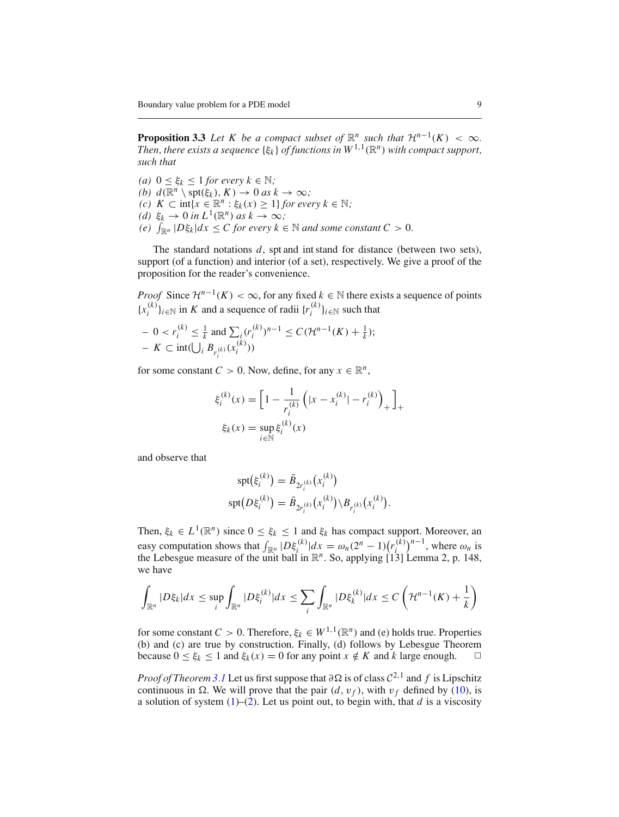**Proposition 3.3** *Let K be a compact subset of*  $\mathbb{R}^n$  *such that*  $\mathcal{H}^{n-1}(K) < \infty$ *. Then, there exists a sequence*  $\{\xi_k\}$  *of functions in*  $W^{1,1}(\mathbb{R}^n)$  *with compact support, such that*

*(a)*  $0 \leq \xi_k \leq 1$  *for every*  $k \in \mathbb{N}$ *; (b)*  $d(\mathbb{R}^n \setminus \operatorname{spt}(\xi_k), K) \to 0$  *as*  $k \to \infty$ *; (c)*  $K ⊂ \text{int}\{x \in \mathbb{R}^n : \xi_k(x) \geq 1\}$  *for every*  $k ∈ \mathbb{N}$ *; (d)*  $\xi_k \to 0$  *in*  $L^1(\mathbb{R}^n)$  *as*  $k \to \infty$ *; (e)*  $\int_{\mathbb{R}^n} |D\xi_k| dx \leq C$  for every  $k \in \mathbb{N}$  and some constant  $C > 0$ .

The standard notations *d*, spt and int stand for distance (between two sets), support (of a function) and interior (of a set), respectively. We give a proof of the proposition for the reader's convenience.

*Proof* Since  $\mathcal{H}^{n-1}(K) < \infty$ , for any fixed  $k \in \mathbb{N}$  there exists a sequence of points  ${x_i^{(k)}}_{i \in \mathbb{N}}$  in *K* and a sequence of radii  ${r_i^{(k)}}_{i \in \mathbb{N}}$  such that

$$
- 0 < r_i^{(k)} \leq \frac{1}{k} \text{ and } \sum_i (r_i^{(k)})^{n-1} \leq C(\mathcal{H}^{n-1}(K) + \frac{1}{k});
$$
  
-  $K \subset \text{int}(\bigcup_i B_{r_i^{(k)}}(x_i^{(k)}))$ 

for some constant  $C > 0$ . Now, define, for any  $x \in \mathbb{R}^n$ ,

$$
\xi_i^{(k)}(x) = \left[1 - \frac{1}{r_i^{(k)}} \left(|x - x_i^{(k)}| - r_i^{(k)}\right)_+\right]_+
$$
  

$$
\xi_k(x) = \sup_{i \in \mathbb{N}} \xi_i^{(k)}(x)
$$

and observe that

$$
spt(\xi_i^{(k)}) = \bar{B}_{2r_i^{(k)}}(x_i^{(k)})
$$
  
\n
$$
spt(D\xi_i^{(k)}) = \bar{B}_{2r_i^{(k)}}(x_i^{(k)})\backslash B_{r_i^{(k)}}(x_i^{(k)}).
$$

Then,  $\xi_k \in L^1(\mathbb{R}^n)$  since  $0 \leq \xi_k \leq 1$  and  $\xi_k$  has compact support. Moreover, an easy computation shows that  $\int_{\mathbb{R}^n} |D\xi_i^{(k)}| dx = \omega_n (2^n - 1) (r_i^{(k)})$  $\binom{k}{i}$ <sup>*n*−1</sup>, where  $\omega_n$  is the Lebesgue measure of the unit ball in  $\mathbb{R}^n$ . So, applying [13] Lemma 2, p. 148, we have

$$
\int_{\mathbb{R}^n} |D\xi_k| dx \le \sup_i \int_{\mathbb{R}^n} |D\xi_i^{(k)}| dx \le \sum_i \int_{\mathbb{R}^n} |D\xi_k^{(k)}| dx \le C\left(\mathcal{H}^{n-1}(K) + \frac{1}{k}\right)
$$

for some constant  $C > 0$ . Therefore,  $\xi_k \in W^{1,1}(\mathbb{R}^n)$  and (e) holds true. Properties (b) and (c) are true by construction. Finally, (d) follows by Lebesgue Theorem because  $0 \le \xi_k \le 1$  and  $\xi_k(x) = 0$  for any point  $x \notin K$  and  $k$  large enough.

*Proof of Theorem* [3.1](#page-5-0) Let us first suppose that  $\partial \Omega$  is of class  $C^{2,1}$  and f is Lipschitz continuous in  $\Omega$ . We will prove that the pair  $(d, v_f)$ , with  $v_f$  defined by [\(10\)](#page-5-1), is a solution of system  $(1)$ – $(2)$ . Let us point out, to begin with, that *d* is a viscosity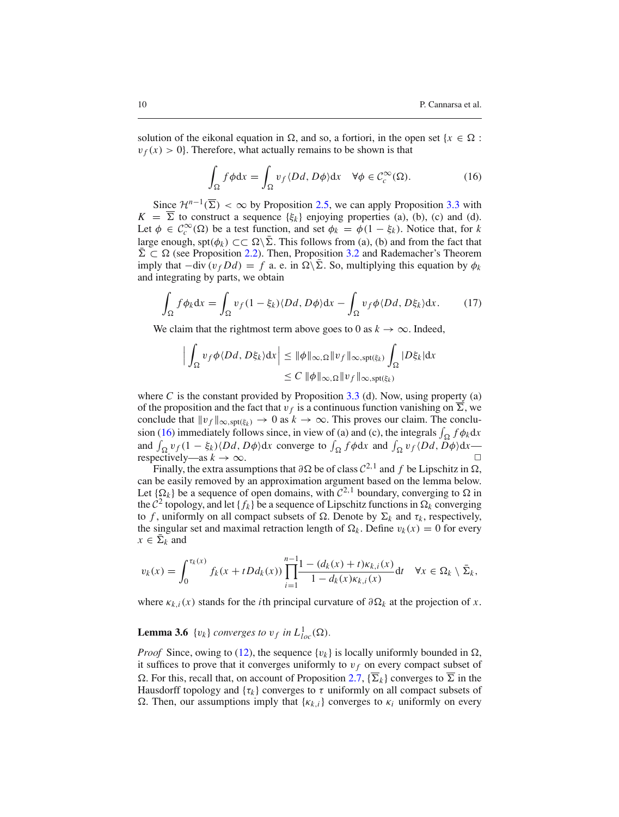solution of the eikonal equation in  $\Omega$ , and so, a fortiori, in the open set {*x*  $\in \Omega$  :  $v_f(x) > 0$ . Therefore, what actually remains to be shown is that

<span id="page-9-0"></span>
$$
\int_{\Omega} f \phi \, dx = \int_{\Omega} v_f \langle Dd, D\phi \rangle dx \quad \forall \phi \in C_c^{\infty}(\Omega). \tag{16}
$$

Since  $\mathcal{H}^{n-1}(\overline{\Sigma}) < \infty$  by Proposition [2.5,](#page-4-3) we can apply Proposition [3.3](#page-7-0) with  $K = \Sigma$  to construct a sequence  $\{\xi_k\}$  enjoying properties (a), (b), (c) and (d). Let  $\phi \in C_c^{\infty}(\Omega)$  be a test function, and set  $\phi_k = \phi(1 - \xi_k)$ . Notice that, for *k* large enough, spt( $\phi_k$ ) ⊂  $\subset \Omega \setminus \overline{\Sigma}$ . This follows from (a), (b) and from the fact that  $\overline{\Sigma} \subset \Omega$  (see Proposition [2.2\)](#page-4-2). Then, Proposition [3.2](#page-4-2) and Rademacher's Theorem imply that  $-div (v_f Dd) = f$  a. e. in  $\Omega \setminus \overline{\Sigma}$ . So, multiplying this equation by  $\phi_k$ and integrating by parts, we obtain

$$
\int_{\Omega} f \phi_k dx = \int_{\Omega} v_f (1 - \xi_k) \langle Dd, D\phi \rangle dx - \int_{\Omega} v_f \phi \langle Dd, D\xi_k \rangle dx. \tag{17}
$$

We claim that the rightmost term above goes to 0 as  $k \to \infty$ . Indeed,

$$
\left| \int_{\Omega} v_f \phi \langle Dd, D\xi_k \rangle dx \right| \leq \|\phi\|_{\infty, \Omega} \|v_f\|_{\infty, \text{spt}(\xi_k)} \int_{\Omega} |D\xi_k| dx
$$
  

$$
\leq C \|\phi\|_{\infty, \Omega} \|v_f\|_{\infty, \text{spt}(\xi_k)}
$$

where  $C$  is the constant provided by Proposition [3.3](#page-7-0) (d). Now, using property (a) of the proposition and the fact that  $v_f$  is a continuous function vanishing on  $\Sigma$ , we conclude that  $\|v_f\|_{\infty, \text{spt}(\xi_k)} \to 0$  as  $k \to \infty$ . This proves our claim. The conclu-sion [\(16\)](#page-9-0) immediately follows since, in view of (a) and (c), the integrals  $\int_{\Omega} f \phi_k dx$ and  $\int_{\Omega} v_f (1 - \xi_k) \langle Dd, D\phi \rangle dx$  converge to  $\int_{\Omega} f \phi dx$  and  $\int_{\Omega} v_f \langle Dd, D\phi \rangle dx$  respectively—as  $k \to \infty$ .

Finally, the extra assumptions that  $\partial \Omega$  be of class  $C^{2,1}$  and f be Lipschitz in  $\Omega$ , can be easily removed by an approximation argument based on the lemma below. Let  $\{\Omega_k\}$  be a sequence of open domains, with  $C^{2,1}$  boundary, converging to  $\Omega$  in the  $C^2$  topology, and let  $\{f_k\}$  be a sequence of Lipschitz functions in  $\Omega_k$  converging to *f*, uniformly on all compact subsets of  $\Omega$ . Denote by  $\Sigma_k$  and  $\tau_k$ , respectively, the singular set and maximal retraction length of  $\Omega_k$ . Define  $v_k(x) = 0$  for every  $x \in \overline{\Sigma}_k$  and

$$
v_k(x) = \int_0^{\tau_k(x)} f_k(x+tDd_k(x)) \prod_{i=1}^{n-1} \frac{1 - (d_k(x) + t)\kappa_{k,i}(x)}{1 - d_k(x)\kappa_{k,i}(x)} \mathrm{d}t \quad \forall x \in \Omega_k \setminus \bar{\Sigma}_k,
$$

where  $\kappa_{k,i}(x)$  stands for the *i*th principal curvature of  $\partial \Omega_k$  at the projection of *x*.

# **Lemma 3.6** { $v_k$ } *converges to*  $v_f$  *in*  $L^1_{loc}(\Omega)$ *.*

*Proof* Since, owing to [\(12\)](#page-6-1), the sequence  $\{v_k\}$  is locally uniformly bounded in  $\Omega$ . it suffices to prove that it converges uniformly to  $v_f$  on every compact subset of  $\Omega$ . For this, recall that, on account of Proposition [2.7,](#page-4-4)  $\{\overline{\Sigma}_k\}$  converges to  $\overline{\Sigma}$  in the Hausdorff topology and  $\{\tau_k\}$  converges to  $\tau$  uniformly on all compact subsets of . Then, our assumptions imply that {κ*k*,*i*} converges to κ*<sup>i</sup>* uniformly on every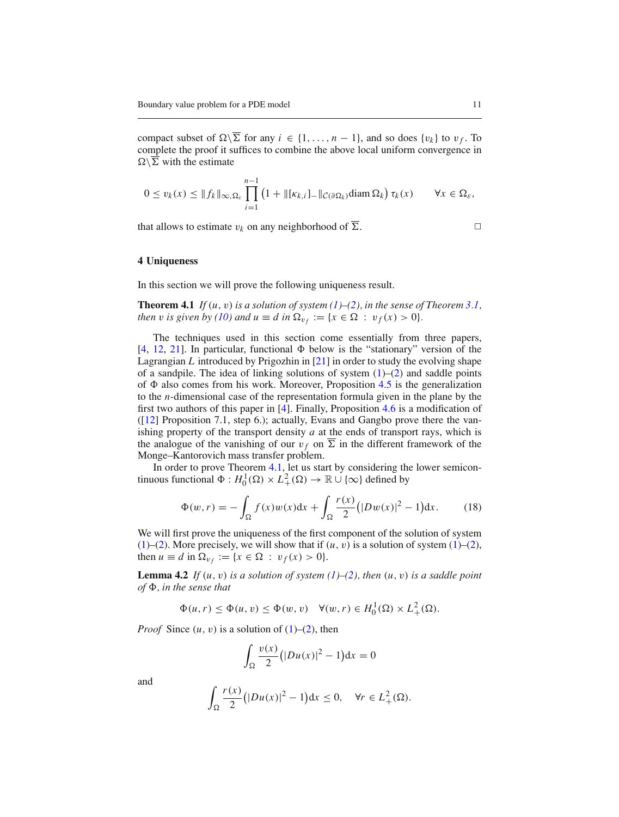compact subset of  $\Omega\backslash\overline{\Sigma}$  for any  $i \in \{1,\ldots,n-1\}$ , and so does  $\{v_k\}$  to  $v_f$ . To complete the proof it suffices to combine the above local uniform convergence in  $\Omega \backslash \Sigma$  with the estimate

$$
0 \le v_k(x) \le ||f_k||_{\infty, \Omega_{\varepsilon}} \prod_{i=1}^{n-1} \left(1 + ||[k_{k,i}] - ||_{\mathcal{C}(\partial \Omega_k)} \text{diam } \Omega_k\right) \tau_k(x) \qquad \forall x \in \Omega_{\varepsilon},
$$

that allows to estimate  $v_k$  on any neighborhood of  $\Sigma$ .

# **4 Uniqueness**

<span id="page-10-0"></span>In this section we will prove the following uniqueness result.

**Theorem 4.1** *If*  $(u, v)$  *is a solution of system*  $(1)$ – $(2)$ *, in the sense of Theorem [3.1,](#page-5-0) then* v *is given by* [\(10\)](#page-5-1) *and*  $u \equiv d$  *in*  $\Omega_{v_f} := \{x \in \Omega : v_f(x) > 0\}.$ 

The techniques used in this section come essentially from three papers, [\[4,](#page-26-3) [12](#page-26-2), [21\]](#page-26-6). In particular, functional  $\Phi$  below is the "stationary" version of the Lagrangian *L* introduced by Prigozhin in [\[21\]](#page-26-6) in order to study the evolving shape of a sandpile. The idea of linking solutions of system  $(1)$ – $(2)$  and saddle points of  $\Phi$  also comes from his work. Moreover, Proposition [4.5](#page-13-0) is the generalization to the *n*-dimensional case of the representation formula given in the plane by the first two authors of this paper in [\[4](#page-26-3)]. Finally, Proposition [4.6](#page-15-0) is a modification of ([\[12](#page-26-2)] Proposition 7.1, step 6.); actually, Evans and Gangbo prove there the vanishing property of the transport density *a* at the ends of transport rays, which is the analogue of the vanishing of our  $v_f$  on  $\overline{\Sigma}$  in the different framework of the Monge–Kantorovich mass transfer problem.

In order to prove Theorem [4.1,](#page-10-0) let us start by considering the lower semicontinuous functional  $\Phi: H_0^1(\Omega) \times L_+^2(\Omega) \to \mathbb{R} \cup \{\infty\}$  defined by

$$
\Phi(w,r) = -\int_{\Omega} f(x)w(x)dx + \int_{\Omega} \frac{r(x)}{2} (|Dw(x)|^2 - 1) dx.
$$
 (18)

We will first prove the uniqueness of the first component of the solution of system [\(1\)](#page-1-0)–[\(2\)](#page-1-1). More precisely, we will show that if  $(u, v)$  is a solution of system (1)–(2), then  $u \equiv d$  in  $\Omega_{v_f} := \{x \in \Omega : v_f(x) > 0\}.$ 

**Lemma 4.2** *If*  $(u, v)$  *is a solution of system*  $(1)$ – $(2)$ *, then*  $(u, v)$  *is a saddle point*  $of \Phi$ , in the sense that

$$
\Phi(u,r) \le \Phi(u,v) \le \Phi(w,v) \quad \forall (w,r) \in H_0^1(\Omega) \times L_+^2(\Omega).
$$

*Proof* Since  $(u, v)$  is a solution of  $(1)$ – $(2)$ , then

<span id="page-10-1"></span>
$$
\int_{\Omega} \frac{v(x)}{2} \left( |Du(x)|^2 - 1 \right) dx = 0
$$

and

$$
\int_{\Omega} \frac{r(x)}{2} \left( |Du(x)|^2 - 1 \right) dx \le 0, \quad \forall r \in L^2_+(\Omega).
$$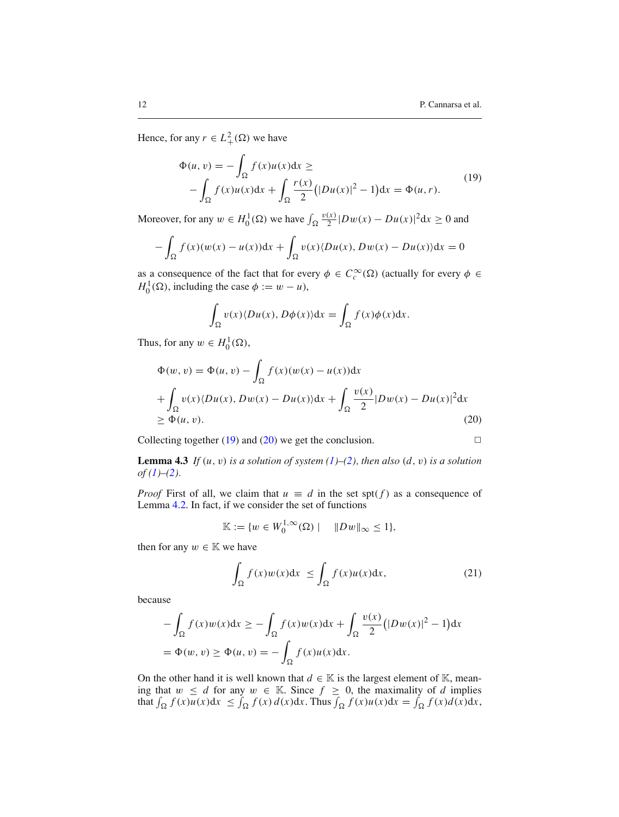Hence, for any  $r \in L^2_+(\Omega)$  we have

<span id="page-11-0"></span>
$$
\Phi(u, v) = -\int_{\Omega} f(x)u(x)dx \ge
$$
  
 
$$
-\int_{\Omega} f(x)u(x)dx + \int_{\Omega} \frac{r(x)}{2} (|Du(x)|^2 - 1)dx = \Phi(u, r).
$$
 (19)

Moreover, for any  $w \in H_0^1(\Omega)$  we have  $\int_{\Omega}$  $\frac{v(x)}{2} |Dw(x) - Du(x)|^2 dx \ge 0$  and

$$
-\int_{\Omega} f(x)(w(x) - u(x))dx + \int_{\Omega} v(x) \langle Du(x), Dw(x) - Du(x) \rangle dx = 0
$$

as a consequence of the fact that for every  $\phi \in C_c^{\infty}(\Omega)$  (actually for every  $\phi \in$  $H_0^1(\Omega)$ , including the case  $\phi := w - u$ ),

$$
\int_{\Omega} v(x) \langle Du(x), D\phi(x) \rangle \mathrm{d}x = \int_{\Omega} f(x) \phi(x) \mathrm{d}x.
$$

<span id="page-11-1"></span>Thus, for any  $w \in H_0^1(\Omega)$ ,

$$
\Phi(w, v) = \Phi(u, v) - \int_{\Omega} f(x)(w(x) - u(x))dx
$$
  
+ 
$$
\int_{\Omega} v(x) \langle Du(x), Dw(x) - Du(x) \rangle dx + \int_{\Omega} \frac{v(x)}{2} |Dw(x) - Du(x)|^2 dx
$$
  

$$
\geq \Phi(u, v).
$$
 (20)

Collecting together [\(19\)](#page-11-0) and [\(20\)](#page-11-1) we get the conclusion.  $\Box$ 

<span id="page-11-2"></span>**Lemma 4.3** *If*  $(u, v)$  *is a solution of system*  $(1)–(2)$  $(1)–(2)$  $(1)–(2)$ *, then also*  $(d, v)$  *is a solution of [\(1\)](#page-1-0)–[\(2\)](#page-1-1).*

*Proof* First of all, we claim that  $u \equiv d$  in the set spt( $f$ ) as a consequence of Lemma [4.2.](#page-10-1) In fact, if we consider the set of functions

$$
\mathbb{K} := \{ w \in W_0^{1,\infty}(\Omega) \mid \quad \|Dw\|_{\infty} \le 1 \},
$$

then for any  $w \in \mathbb{K}$  we have

$$
\int_{\Omega} f(x)w(x)dx \le \int_{\Omega} f(x)u(x)dx,
$$
\n(21)

because

$$
-\int_{\Omega} f(x)w(x)dx \ge -\int_{\Omega} f(x)w(x)dx + \int_{\Omega} \frac{v(x)}{2} (|Dw(x)|^2 - 1)dx
$$
  
=  $\Phi(w, v) \ge \Phi(u, v) = -\int_{\Omega} f(x)u(x)dx.$ 

On the other hand it is well known that  $d \in \mathbb{K}$  is the largest element of K, meaning that  $w \le d$  for any  $w \in \mathbb{K}$ . Since  $f \ge 0$ , the maximality of *d* implies that  $\int_{\Omega} f(x)u(x)dx \le \int_{\Omega} f(x) d(x)dx$ . Thus  $\int_{\Omega} f(x)u(x)dx = \int_{\Omega} f(x)d(x)dx$ ,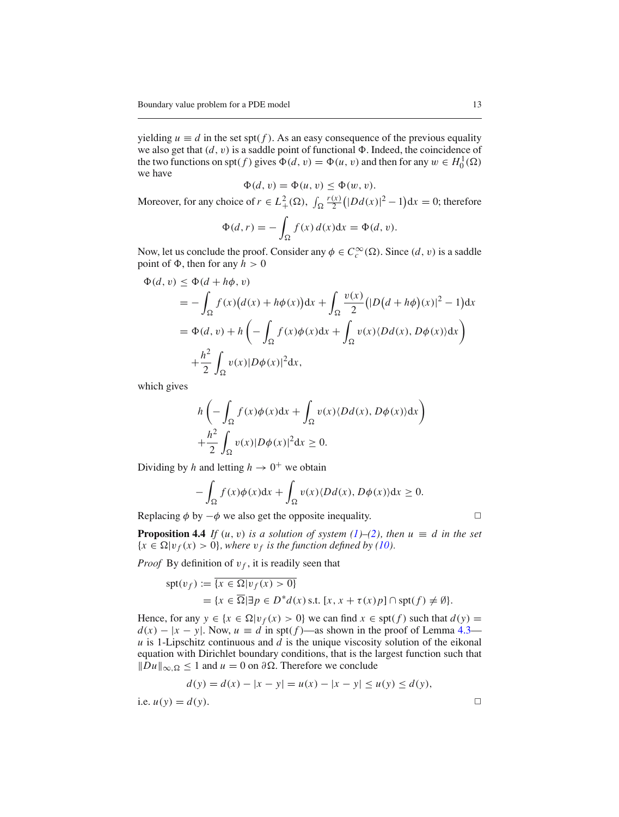yielding  $u \equiv d$  in the set spt( $f$ ). As an easy consequence of the previous equality we also get that  $(d, v)$  is a saddle point of functional  $\Phi$ . Indeed, the coincidence of the two functions on spt(*f*) gives  $\Phi(d, v) = \Phi(u, v)$  and then for any  $w \in H_0^1(\Omega)$ we have

$$
\Phi(d, v) = \Phi(u, v) \le \Phi(w, v).
$$

Moreover, for any choice of  $r \in L^2_+(\Omega)$ ,  $\int_{\Omega}$ *r*(*x*)  $\frac{(x)}{2}(|Dd(x)|^2 - 1)dx = 0$ ; therefore

$$
\Phi(d,r) = -\int_{\Omega} f(x) d(x) dx = \Phi(d,v).
$$

Now, let us conclude the proof. Consider any  $\phi \in C_c^{\infty}(\Omega)$ . Since  $(d, v)$  is a saddle point of  $\Phi$ , then for any  $h > 0$ 

$$
\Phi(d, v) \leq \Phi(d + h\phi, v)
$$
  
=  $-\int_{\Omega} f(x) (d(x) + h\phi(x)) dx + \int_{\Omega} \frac{v(x)}{2} (|D(d + h\phi)(x)|^2 - 1) dx$   
=  $\Phi(d, v) + h \left( - \int_{\Omega} f(x) \phi(x) dx + \int_{\Omega} v(x) \langle Dd(x), D\phi(x) \rangle dx \right)$   
 $+ \frac{h^2}{2} \int_{\Omega} v(x) |D\phi(x)|^2 dx,$ 

which gives

$$
h\left(-\int_{\Omega} f(x)\phi(x)dx + \int_{\Omega} v(x)\langle Dd(x), D\phi(x)\rangle dx\right) + \frac{h^2}{2}\int_{\Omega} v(x)|D\phi(x)|^2 dx \ge 0.
$$

Dividing by *h* and letting  $h \to 0^+$  we obtain

$$
-\int_{\Omega} f(x)\phi(x)dx + \int_{\Omega} v(x)\langle Dd(x), D\phi(x)\rangle dx \ge 0.
$$

<span id="page-12-0"></span>Replacing  $\phi$  by  $-\phi$  we also get the opposite inequality.  $\Box$ 

**Proposition 4.4** *If*  $(u, v)$  *is a solution of system [\(1\)](#page-1-0)–[\(2\)](#page-1-1), then*  $u \equiv d$  *in the set*  ${x \in \Omega | v_f(x) > 0}$ *, where*  $v_f$  *is the function defined by [\(10\)](#page-5-1).* 

*Proof* By definition of  $v_f$ , it is readily seen that

$$
spt(v_f) := \overline{\{x \in \Omega | v_f(x) > 0\}}
$$
  
=  $\{x \in \overline{\Omega} | \exists p \in D^* d(x) \text{ s.t. } [x, x + \tau(x)p] \cap \text{spt}(f) \neq \emptyset\}.$ 

Hence, for any  $y \in \{x \in \Omega | v_f(x) > 0\}$  we can find  $x \in \text{spt}(f)$  such that  $d(y) =$  $d(x) - |x - y|$ . Now,  $u \equiv d$  in spt( $f$ )—as shown in the proof of Lemma [4.3](#page-11-2) *u* is 1-Lipschitz continuous and *d* is the unique viscosity solution of the eikonal equation with Dirichlet boundary conditions, that is the largest function such that  $||Du||_{\infty,Ω}$  ≤ 1 and *u* = 0 on  $\partial Ω$ . Therefore we conclude

$$
d(y) = d(x) - |x - y| = u(x) - |x - y| \le u(y) \le d(y),
$$
  
i.e.  $u(y) = d(y)$ .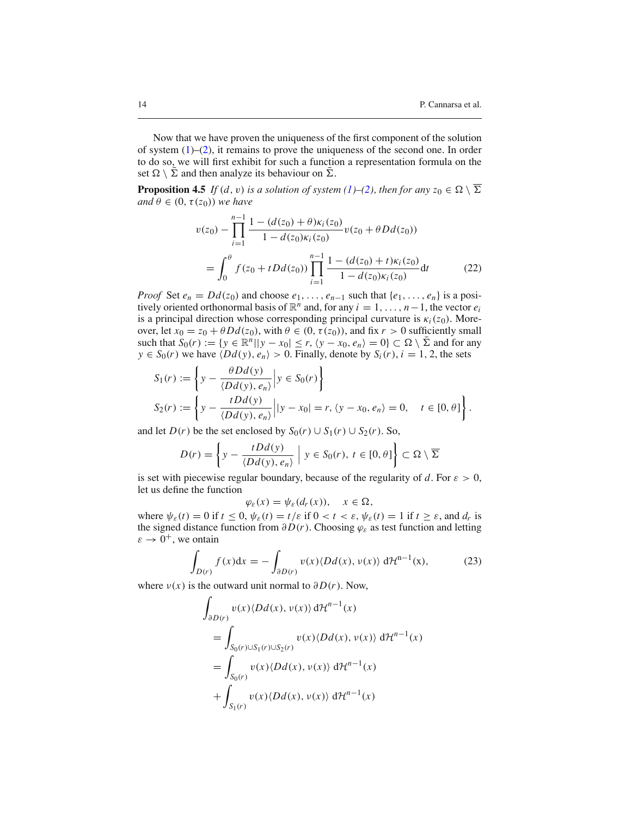Now that we have proven the uniqueness of the first component of the solution of system  $(1)$ – $(2)$ , it remains to prove the uniqueness of the second one. In order to do so, we will first exhibit for such a function a representation formula on the set  $\Omega \setminus \Sigma$  and then analyze its behaviour on  $\Sigma$ .

<span id="page-13-2"></span><span id="page-13-0"></span>**Proposition 4.5** *If*  $(d, v)$  *is a solution of system*  $(1)$ *–*[\(2\)](#page-1-1)*, then for any*  $z_0 \in \Omega \setminus \overline{\Sigma}$ *and*  $\theta \in (0, \tau(z_0))$  *we have* 

$$
v(z_0) - \prod_{i=1}^{n-1} \frac{1 - (d(z_0) + \theta)\kappa_i(z_0)}{1 - d(z_0)\kappa_i(z_0)} v(z_0 + \theta Dd(z_0))
$$
  
= 
$$
\int_0^{\theta} f(z_0 + t Dd(z_0)) \prod_{i=1}^{n-1} \frac{1 - (d(z_0) + t)\kappa_i(z_0)}{1 - d(z_0)\kappa_i(z_0)} dt
$$
 (22)

*Proof* Set  $e_n = Dd(z_0)$  and choose  $e_1, \ldots, e_{n-1}$  such that  $\{e_1, \ldots, e_n\}$  is a positively oriented orthonormal basis of  $\mathbb{R}^n$  and, for any  $i = 1, \ldots, n-1$ , the vector  $e_i$ is a principal direction whose corresponding principal curvature is  $\kappa_i(z_0)$ . Moreover, let  $x_0 = z_0 + \theta Dd(z_0)$ , with  $\theta \in (0, \tau(z_0))$ , and fix  $r > 0$  sufficiently small such that  $S_0(r) := \{ y \in \mathbb{R}^n | |y - x_0| \le r, \langle y - x_0, e_n \rangle = 0 \} \subset \Omega \setminus \overline{\Sigma}$  and for any  $y \in S_0(r)$  we have  $\langle Dd(y), e_n \rangle > 0$ . Finally, denote by  $S_i(r)$ ,  $i = 1, 2$ , the sets

$$
S_1(r) := \left\{ y - \frac{\theta Dd(y)}{\langle Dd(y), e_n \rangle} \middle| y \in S_0(r) \right\}
$$
  

$$
S_2(r) := \left\{ y - \frac{tDd(y)}{\langle Dd(y), e_n \rangle} \middle| y - x_0 \right\} = r, \langle y - x_0, e_n \rangle = 0, \quad t \in [0, \theta] \right\}.
$$

and let  $D(r)$  be the set enclosed by  $S_0(r) \cup S_1(r) \cup S_2(r)$ . So,

$$
D(r) = \left\{ y - \frac{tDd(y)}{\langle Dd(y), e_n \rangle} \middle| y \in S_0(r), t \in [0, \theta] \right\} \subset \Omega \setminus \overline{\Sigma}
$$

is set with piecewise regular boundary, because of the regularity of *d*. For  $\varepsilon > 0$ , let us define the function

$$
\varphi_{\varepsilon}(x) = \psi_{\varepsilon}(d_r(x)), \quad x \in \Omega,
$$

<span id="page-13-1"></span>where  $\psi_{\varepsilon}(t) = 0$  if  $t \leq 0$ ,  $\psi_{\varepsilon}(t) = t/\varepsilon$  if  $0 < t < \varepsilon$ ,  $\psi_{\varepsilon}(t) = 1$  if  $t \geq \varepsilon$ , and  $d_r$  is the signed distance function from  $\partial D(r)$ . Choosing  $\varphi_{\varepsilon}$  as test function and letting  $\varepsilon \to 0^+$ , we ontain

$$
\int_{D(r)} f(x)dx = -\int_{\partial D(r)} v(x) \langle Dd(x), v(x) \rangle d\mathcal{H}^{n-1}(x), \tag{23}
$$

where  $v(x)$  is the outward unit normal to  $\partial D(r)$ . Now,

$$
\int_{\partial D(r)} v(x) \langle Dd(x), v(x) \rangle d\mathcal{H}^{n-1}(x)
$$
\n
$$
= \int_{S_0(r) \cup S_1(r) \cup S_2(r)} v(x) \langle Dd(x), v(x) \rangle d\mathcal{H}^{n-1}(x)
$$
\n
$$
= \int_{S_0(r)} v(x) \langle Dd(x), v(x) \rangle d\mathcal{H}^{n-1}(x)
$$
\n
$$
+ \int_{S_1(r)} v(x) \langle Dd(x), v(x) \rangle d\mathcal{H}^{n-1}(x)
$$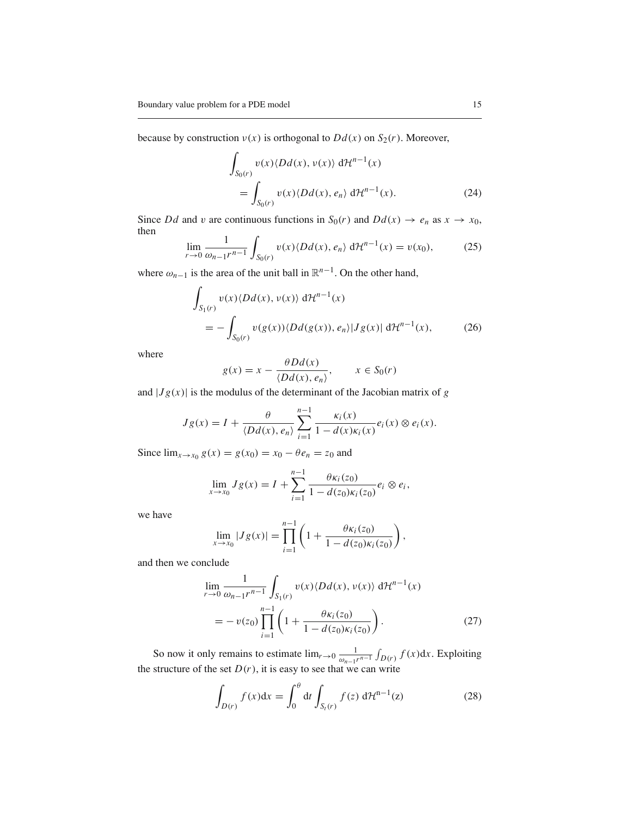because by construction  $v(x)$  is orthogonal to  $Dd(x)$  on  $S_2(r)$ . Moreover,

$$
\int_{S_0(r)} v(x) \langle Dd(x), v(x) \rangle d\mathcal{H}^{n-1}(x)
$$
  
= 
$$
\int_{S_0(r)} v(x) \langle Dd(x), e_n \rangle d\mathcal{H}^{n-1}(x).
$$
 (24)

<span id="page-14-0"></span>Since *Dd* and *v* are continuous functions in  $S_0(r)$  and  $Dd(x) \rightarrow e_n$  as  $x \rightarrow x_0$ , then

$$
\lim_{r \to 0} \frac{1}{\omega_{n-1} r^{n-1}} \int_{S_0(r)} v(x) \langle Dd(x), e_n \rangle d\mathcal{H}^{n-1}(x) = v(x_0), \tag{25}
$$

where  $\omega_{n-1}$  is the area of the unit ball in  $\mathbb{R}^{n-1}$ . On the other hand,

$$
\int_{S_1(r)} v(x) \langle Dd(x), v(x) \rangle \, d\mathcal{H}^{n-1}(x)
$$
\n
$$
= -\int_{S_0(r)} v(g(x)) \langle Dd(g(x)), e_n \rangle |Jg(x)| \, d\mathcal{H}^{n-1}(x), \tag{26}
$$

where

$$
g(x) = x - \frac{\theta Dd(x)}{\langle Dd(x), e_n \rangle}, \qquad x \in S_0(r)
$$

and  $|Jg(x)|$  is the modulus of the determinant of the Jacobian matrix of *g* 

$$
Jg(x) = I + \frac{\theta}{\langle Dd(x), e_n \rangle} \sum_{i=1}^{n-1} \frac{\kappa_i(x)}{1 - d(x)\kappa_i(x)} e_i(x) \otimes e_i(x).
$$

Since  $\lim_{x \to x_0} g(x) = g(x_0) = x_0 - \theta e_n = z_0$  and

$$
\lim_{x \to x_0} Jg(x) = I + \sum_{i=1}^{n-1} \frac{\theta \kappa_i(z_0)}{1 - d(z_0) \kappa_i(z_0)} e_i \otimes e_i,
$$

we have

$$
\lim_{x \to x_0} |Jg(x)| = \prod_{i=1}^{n-1} \left( 1 + \frac{\theta \kappa_i(z_0)}{1 - d(z_0) \kappa_i(z_0)} \right),
$$

<span id="page-14-1"></span>and then we conclude

$$
\lim_{r \to 0} \frac{1}{\omega_{n-1}r^{n-1}} \int_{S_1(r)} v(x) \langle Dd(x), v(x) \rangle d\mathcal{H}^{n-1}(x)
$$
  
=  $-v(z_0) \prod_{i=1}^{n-1} \left( 1 + \frac{\theta \kappa_i(z_0)}{1 - d(z_0)\kappa_i(z_0)} \right).$  (27)

So now it only remains to estimate  $\lim_{r \to 0} \frac{1}{\omega_{n-1} r^{n-1}} \int_{D(r)} f(x) dx$ . Exploiting the structure of the set  $D(r)$ , it is easy to see that we can write

$$
\int_{D(r)} f(x)dx = \int_0^\theta dt \int_{S_t(r)} f(z) d\mathcal{H}^{n-1}(z)
$$
\n(28)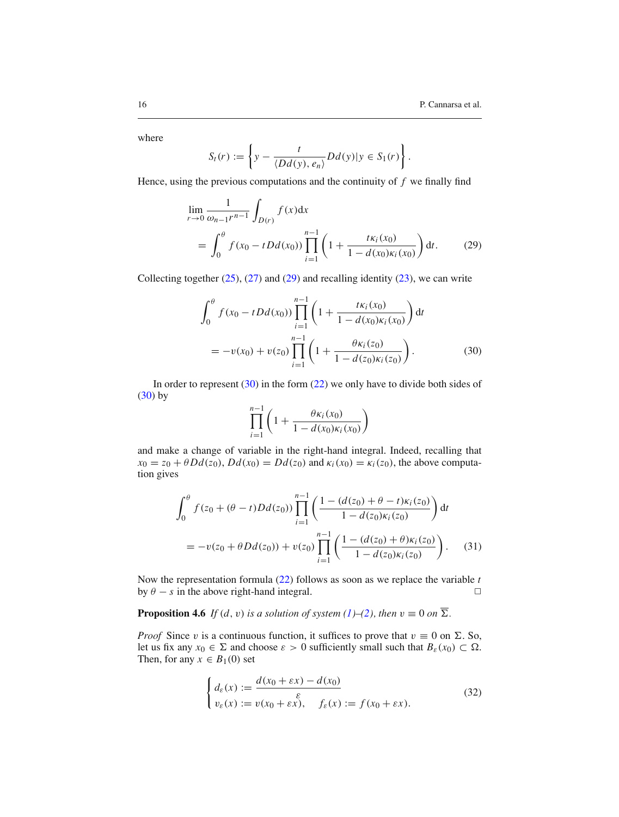where

$$
S_t(r) := \left\{ y - \frac{t}{\langle Dd(y), e_n \rangle} Dd(y) | y \in S_1(r) \right\}.
$$

<span id="page-15-1"></span>Hence, using the previous computations and the continuity of *f* we finally find

$$
\lim_{r \to 0} \frac{1}{\omega_{n-1} r^{n-1}} \int_{D(r)} f(x) dx
$$
\n
$$
= \int_0^{\theta} f(x_0 - t D d(x_0)) \prod_{i=1}^{n-1} \left( 1 + \frac{t \kappa_i(x_0)}{1 - d(x_0) \kappa_i(x_0)} \right) dt. \tag{29}
$$

<span id="page-15-2"></span>Collecting together  $(25)$ ,  $(27)$  and  $(29)$  and recalling identity  $(23)$ , we can write

$$
\int_0^{\theta} f(x_0 - tDd(x_0)) \prod_{i=1}^{n-1} \left( 1 + \frac{t\kappa_i(x_0)}{1 - d(x_0)\kappa_i(x_0)} \right) dt
$$
  
=  $-v(x_0) + v(z_0) \prod_{i=1}^{n-1} \left( 1 + \frac{\theta \kappa_i(z_0)}{1 - d(z_0)\kappa_i(z_0)} \right).$  (30)

In order to represent  $(30)$  in the form  $(22)$  we only have to divide both sides of  $(30)$  by

$$
\prod_{i=1}^{n-1} \left( 1 + \frac{\theta \kappa_i(x_0)}{1 - d(x_0) \kappa_i(x_0)} \right)
$$

and make a change of variable in the right-hand integral. Indeed, recalling that  $x_0 = z_0 + \theta Dd(z_0)$ ,  $Dd(x_0) = Dd(z_0)$  and  $\kappa_i(x_0) = \kappa_i(z_0)$ , the above computation gives

$$
\int_0^{\theta} f(z_0 + (\theta - t)Dd(z_0)) \prod_{i=1}^{n-1} \left( \frac{1 - (d(z_0) + \theta - t)\kappa_i(z_0)}{1 - d(z_0)\kappa_i(z_0)} \right) dt
$$
  
= 
$$
-v(z_0 + \theta Dd(z_0)) + v(z_0) \prod_{i=1}^{n-1} \left( \frac{1 - (d(z_0) + \theta)\kappa_i(z_0)}{1 - d(z_0)\kappa_i(z_0)} \right).
$$
 (31)

Now the representation formula [\(22\)](#page-13-2) follows as soon as we replace the variable *t* by  $\theta - s$  in the above right-hand integral.  $\Box$ 

<span id="page-15-0"></span>**Proposition 4.6** *If*  $(d, v)$  *is a solution of system*  $(1)–(2)$  $(1)–(2)$  $(1)–(2)$ *, then*  $v \equiv 0$  *on*  $\overline{\Sigma}$ *.* 

*Proof* Since v is a continuous function, it suffices to prove that  $v \equiv 0$  on  $\Sigma$ . So, let us fix any  $x_0 \in \Sigma$  and choose  $\varepsilon > 0$  sufficiently small such that  $B_{\varepsilon}(x_0) \subset \Omega$ . Then, for any  $x \in B_1(0)$  set

$$
\begin{cases}\nd_{\varepsilon}(x) := \frac{d(x_0 + \varepsilon x) - d(x_0)}{\varepsilon} \\
v_{\varepsilon}(x) := v(x_0 + \varepsilon x), \quad f_{\varepsilon}(x) := f(x_0 + \varepsilon x).\n\end{cases} \tag{32}
$$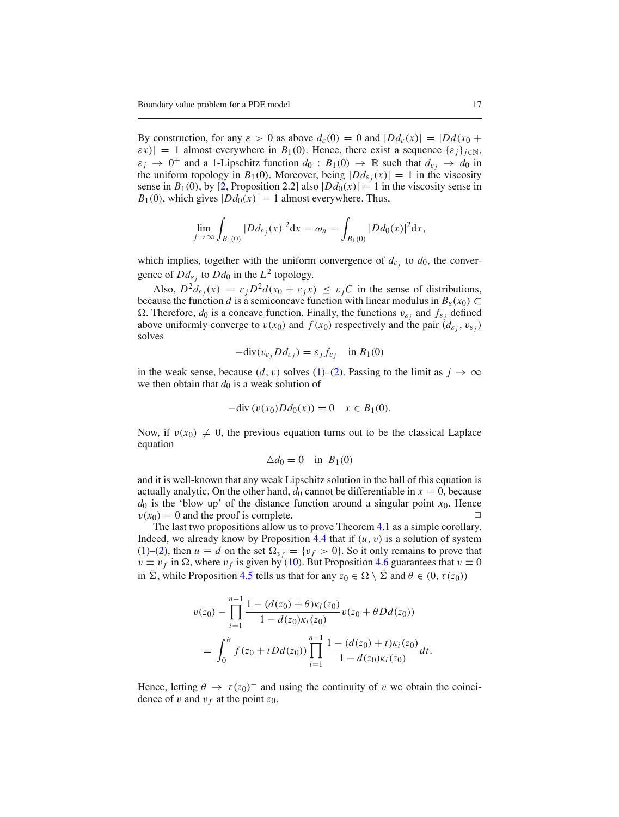By construction, for any  $\varepsilon > 0$  as above  $d_{\varepsilon}(0) = 0$  and  $|Dd_{\varepsilon}(x)| = |Dd(x_0 +$  $|\varepsilon x| = 1$  almost everywhere in *B*<sub>1</sub>(0). Hence, there exist a sequence  $\{\varepsilon_i\}_{i \in \mathbb{N}}$ ,  $\varepsilon_j \to 0^+$  and a 1-Lipschitz function  $d_0 : B_1(0) \to \mathbb{R}$  such that  $d_{\varepsilon_j} \to d_0$  in the uniform topology in  $B_1(0)$ . Moreover, being  $|Dd_{\varepsilon_i}(x)| = 1$  in the viscosity sense in  $B_1(0)$ , by [\[2](#page-26-15), Proposition 2.2] also  $|Dd_0(x)| = 1$  in the viscosity sense in  $B_1(0)$ , which gives  $|Dd_0(x)| = 1$  almost everywhere. Thus,

$$
\lim_{j \to \infty} \int_{B_1(0)} |D d_{\varepsilon_j}(x)|^2 dx = \omega_n = \int_{B_1(0)} |D d_0(x)|^2 dx,
$$

which implies, together with the uniform convergence of  $d_{\varepsilon_j}$  to  $d_0$ , the convergence of  $Dd_{\varepsilon}$  to  $Dd_0$  in the  $L^2$  topology.

Also,  $D^2 d_{\varepsilon_i}(x) = \varepsilon_i D^2 d(x_0 + \varepsilon_i x) \leq \varepsilon_i C$  in the sense of distributions, because the function *d* is a semiconcave function with linear modulus in  $B_{\varepsilon}(x_0) \subset$  $Ω$ . Therefore,  $d_0$  is a concave function. Finally, the functions  $v_{ε_i}$  and  $f_{ε_i}$  defined above uniformly converge to  $v(x_0)$  and  $f(x_0)$  respectively and the pair  $(d_{\varepsilon_i}, v_{\varepsilon_i})$ solves

$$
-div(v_{\varepsilon_j}Dd_{\varepsilon_j}) = \varepsilon_j f_{\varepsilon_j} \quad \text{in } B_1(0)
$$

in the weak sense, because  $(d, v)$  solves [\(1\)](#page-1-0)–[\(2\)](#page-1-1). Passing to the limit as  $j \to \infty$ we then obtain that  $d_0$  is a weak solution of

$$
-div(v(x_0)Dd_0(x)) = 0 \quad x \in B_1(0).
$$

Now, if  $v(x_0) \neq 0$ , the previous equation turns out to be the classical Laplace equation

$$
\Delta d_0 = 0 \quad \text{in} \ \ B_1(0)
$$

and it is well-known that any weak Lipschitz solution in the ball of this equation is actually analytic. On the other hand,  $d_0$  cannot be differentiable in  $x = 0$ , because  $d_0$  is the 'blow up' of the distance function around a singular point  $x_0$ . Hence  $v(x_0) = 0$  and the proof is complete.

The last two propositions allow us to prove Theorem [4.1](#page-10-0) as a simple corollary. Indeed, we already know by Proposition  $4.4$  that if  $(u, v)$  is a solution of system [\(1\)](#page-1-0)–[\(2\)](#page-1-1), then  $u \equiv d$  on the set  $\Omega_{v_f} = \{v_f > 0\}$ . So it only remains to prove that  $v \equiv v_f$  in  $\Omega$ , where  $v_f$  is given by [\(10\)](#page-5-1). But Proposition [4.6](#page-15-0) guarantees that  $v \equiv 0$ in  $\bar{\Sigma}$ , while Proposition [4.5](#page-13-0) tells us that for any  $z_0 \in \Omega \setminus \bar{\Sigma}$  and  $\theta \in (0, \tau(z_0))$ 

$$
v(z_0) - \prod_{i=1}^{n-1} \frac{1 - (d(z_0) + \theta)\kappa_i(z_0)}{1 - d(z_0)\kappa_i(z_0)} v(z_0 + \theta Dd(z_0))
$$
  
= 
$$
\int_0^{\theta} f(z_0 + t Dd(z_0)) \prod_{i=1}^{n-1} \frac{1 - (d(z_0) + t)\kappa_i(z_0)}{1 - d(z_0)\kappa_i(z_0)} dt.
$$

Hence, letting  $\theta \to \tau(z_0)^-$  and using the continuity of v we obtain the coincidence of v and  $v_f$  at the point  $z_0$ .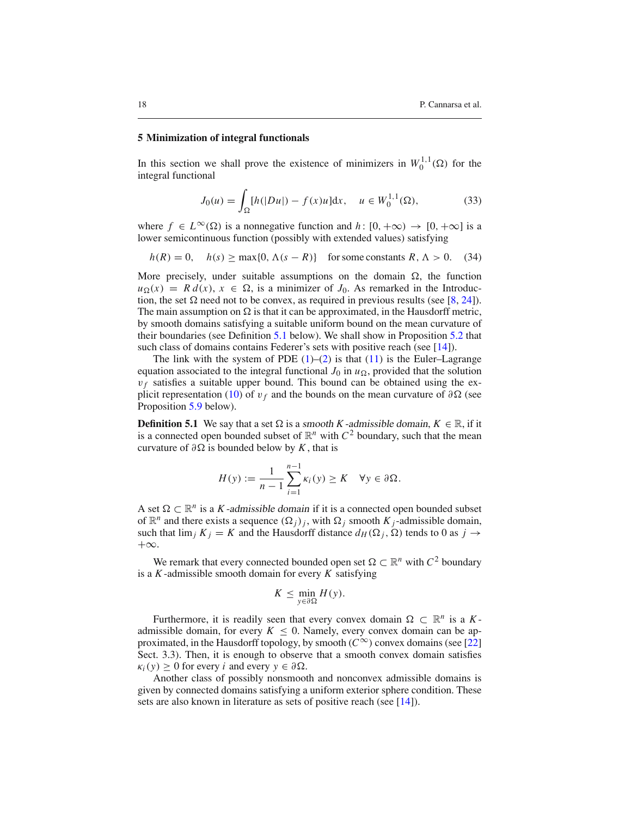### **5 Minimization of integral functionals**

<span id="page-17-1"></span>In this section we shall prove the existence of minimizers in  $W_0^{1,1}(\Omega)$  for the integral functional

<span id="page-17-2"></span>
$$
J_0(u) = \int_{\Omega} [h(|Du|) - f(x)u] dx, \quad u \in W_0^{1,1}(\Omega), \tag{33}
$$

where  $f \in L^{\infty}(\Omega)$  is a nonnegative function and  $h: [0, +\infty) \to [0, +\infty]$  is a lower semicontinuous function (possibly with extended values) satisfying

$$
h(R) = 0
$$
,  $h(s) \ge \max\{0, \Lambda(s - R)\}\$  for some constants  $R, \Lambda > 0$ . (34)

More precisely, under suitable assumptions on the domain  $\Omega$ , the function  $u_{\Omega}(x) = R d(x), x \in \Omega$ , is a minimizer of *J*<sub>0</sub>. As remarked in the Introduction, the set  $\Omega$  need not to be convex, as required in previous results (see [\[8](#page-26-7), [24\]](#page-26-12)). The main assumption on  $\Omega$  is that it can be approximated, in the Hausdorff metric, by smooth domains satisfying a suitable uniform bound on the mean curvature of their boundaries (see Definition [5.1](#page-17-0) below). We shall show in Proposition [5.2](#page-4-2) that such class of domains contains Federer's sets with positive reach (see [\[14](#page-26-17)]).

The link with the system of PDE  $(1)$ – $(2)$  is that  $(11)$  is the Euler–Lagrange equation associated to the integral functional  $J_0$  in  $u_{\Omega}$ , provided that the solution  $v_f$  satisfies a suitable upper bound. This bound can be obtained using the ex-plicit representation [\(10\)](#page-5-1) of  $v_f$  and the bounds on the mean curvature of  $\partial\Omega$  (see Proposition [5.9](#page-23-0) below).

<span id="page-17-0"></span>**Definition 5.1** We say that a set  $\Omega$  is a smooth *K*-admissible domain,  $K \in \mathbb{R}$ , if it is a connected open bounded subset of  $\mathbb{R}^n$  with  $C^2$  boundary, such that the mean curvature of  $\partial \Omega$  is bounded below by *K*, that is

$$
H(y) := \frac{1}{n-1} \sum_{i=1}^{n-1} \kappa_i(y) \ge K \quad \forall y \in \partial \Omega.
$$

A set  $\Omega \subset \mathbb{R}^n$  is a *K*-admissible domain if it is a connected open bounded subset of  $\mathbb{R}^n$  and there exists a sequence  $(\Omega_i)_i$ , with  $\Omega_i$  smooth  $K_i$ -admissible domain, such that  $\lim_j K_j = K$  and the Hausdorff distance  $d_H(\Omega_j, \Omega)$  tends to 0 as  $j \to$ +∞.

We remark that every connected bounded open set  $\Omega \subset \mathbb{R}^n$  with  $C^2$  boundary is a *K*-admissible smooth domain for every *K* satisfying

$$
K \leq \min_{y \in \partial \Omega} H(y).
$$

Furthermore, it is readily seen that every convex domain  $\Omega \subset \mathbb{R}^n$  is a *K*admissible domain, for every  $K \leq 0$ . Namely, every convex domain can be approximated, in the Hausdorff topology, by smooth ( $C^{\infty}$ ) convex domains (see [\[22\]](#page-26-18) Sect. 3.3). Then, it is enough to observe that a smooth convex domain satisfies  $\kappa_i(y) > 0$  for every *i* and every  $y \in \partial \Omega$ .

Another class of possibly nonsmooth and nonconvex admissible domains is given by connected domains satisfying a uniform exterior sphere condition. These sets are also known in literature as sets of positive reach (see [\[14\]](#page-26-17)).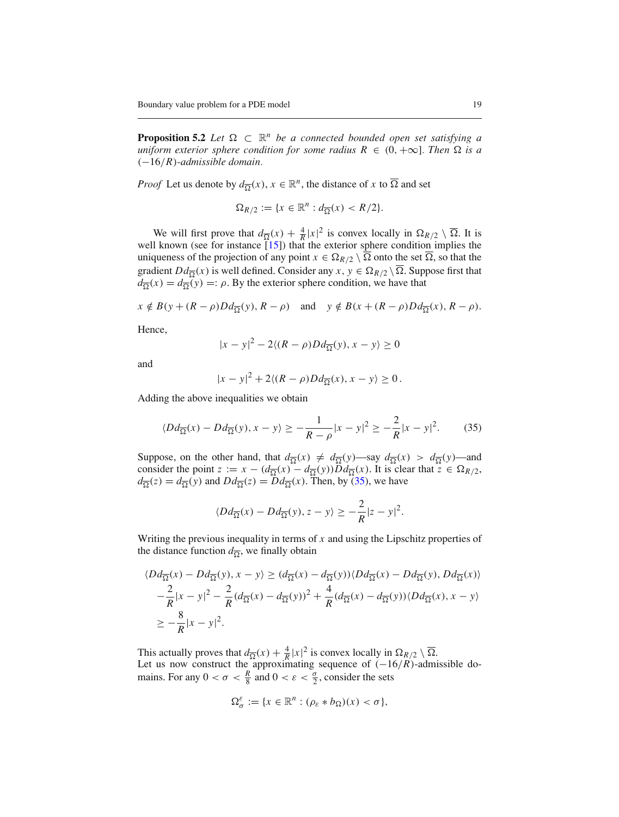**Proposition 5.2** *Let*  $\Omega \subset \mathbb{R}^n$  *be a connected bounded open set satisfying a uniform exterior sphere condition for some radius*  $R \in (0, +\infty]$ *. Then*  $\Omega$  *is a* (−16/*R*)*-admissible domain.*

*Proof* Let us denote by  $d_{\overline{\Omega}}(x)$ ,  $x \in \mathbb{R}^n$ , the distance of *x* to  $\overline{\Omega}$  and set

$$
\Omega_{R/2} := \{ x \in \mathbb{R}^n : d_{\overline{\Omega}}(x) < R/2 \}.
$$

We will first prove that  $d_{\overline{\Omega}}(x) + \frac{4}{R}|x|^2$  is convex locally in  $\Omega_{R/2} \setminus \overline{\Omega}$ . It is well known (see for instance [\[15\]](#page-26-5)) that the exterior sphere condition implies the uniqueness of the projection of any point  $x \in \Omega_{R/2} \setminus \overline{\Omega}$  onto the set  $\overline{\Omega}$ , so that the gradient  $Dd_{\overline{Q}}(x)$  is well defined. Consider any  $x, y \in \Omega_{R/2} \setminus \overline{\Omega}$ . Suppose first that  $d_{\overline{\Omega}}(x) = d_{\overline{\Omega}}(y) =: \rho$ . By the exterior sphere condition, we have that

 $x \notin B(y + (R - \rho)Dd_{\overline{\Omega}}(y), R - \rho)$  and  $y \notin B(x + (R - \rho)Dd_{\overline{\Omega}}(x), R - \rho)$ .

Hence,

$$
|x - y|^2 - 2\langle (R - \rho)Dd_{\overline{\Omega}}(y), x - y \rangle \ge 0
$$

and

<span id="page-18-0"></span>
$$
|x-y|^2 + 2\langle (R-\rho)Dd_{\overline{\Omega}}(x), x-y\rangle \ge 0.
$$

Adding the above inequalities we obtain

$$
\langle Dd_{\overline{\Omega}}(x) - Dd_{\overline{\Omega}}(y), x - y \rangle \ge -\frac{1}{R - \rho} |x - y|^2 \ge -\frac{2}{R} |x - y|^2. \tag{35}
$$

Suppose, on the other hand, that  $d_{\overline{\Omega}}(x) \neq d_{\overline{\Omega}}(y)$ —say  $d_{\overline{\Omega}}(x) > d_{\overline{\Omega}}(y)$ —and consider the point  $z := x - (d_{\overline{\Omega}}(x) - d_{\overline{\Omega}}(y))\overline{D}d_{\overline{\Omega}}(x)$ . It is clear that  $\overline{z} \in \Omega_{R/2}$ ,  $d_{\overline{\Omega}}(z) = d_{\overline{\Omega}}(y)$  and  $Dd_{\overline{\Omega}}(z) = Dd_{\overline{\Omega}}(x)$ . Then, by [\(35\)](#page-18-0), we have

$$
\langle Dd_{\overline{\Omega}}(x) - Dd_{\overline{\Omega}}(y), z - y \rangle \ge -\frac{2}{R}|z - y|^2.
$$

Writing the previous inequality in terms of *x* and using the Lipschitz properties of the distance function  $d_{\overline{Q}}$ , we finally obtain

$$
\langle Dd_{\overline{\Omega}}(x) - Dd_{\overline{\Omega}}(y), x - y \rangle \ge (d_{\overline{\Omega}}(x) - d_{\overline{\Omega}}(y)) \langle Dd_{\overline{\Omega}}(x) - Dd_{\overline{\Omega}}(y), Dd_{\overline{\Omega}}(x) \rangle
$$
  

$$
-\frac{2}{R}|x - y|^2 - \frac{2}{R}(d_{\overline{\Omega}}(x) - d_{\overline{\Omega}}(y))^2 + \frac{4}{R}(d_{\overline{\Omega}}(x) - d_{\overline{\Omega}}(y)) \langle Dd_{\overline{\Omega}}(x), x - y \rangle
$$
  

$$
\ge -\frac{8}{R}|x - y|^2.
$$

This actually proves that  $d_{\overline{\Omega}}(x) + \frac{4}{R}|x|^2$  is convex locally in  $\Omega_{R/2} \setminus \overline{\Omega}$ . Let us now construct the approximating sequence of  $(-16/R)$ -admissible domains. For any  $0 < \sigma < \frac{R}{8}$  and  $0 < \varepsilon < \frac{\sigma}{2}$ , consider the sets

$$
\Omega_{\sigma}^{\varepsilon} := \{ x \in \mathbb{R}^n : (\rho_{\varepsilon} * b_{\Omega})(x) < \sigma \},
$$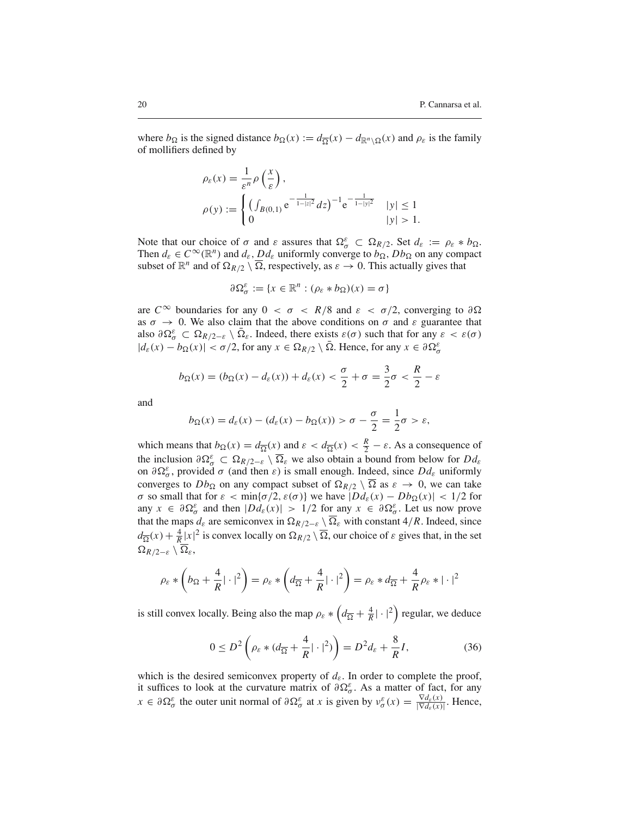where  $b_{\Omega}$  is the signed distance  $b_{\Omega}(x) := d_{\overline{\Omega}}(x) - d_{\mathbb{R}^n \setminus \Omega}(x)$  and  $\rho_{\varepsilon}$  is the family of mollifiers defined by

$$
\rho_{\varepsilon}(x) = \frac{1}{\varepsilon^{n}} \rho\left(\frac{x}{\varepsilon}\right),
$$
  
\n
$$
\rho(y) := \begin{cases}\n\left(\int_{B(0,1)} e^{-\frac{1}{1-|z|^2}} dz\right)^{-1} e^{-\frac{1}{1-|y|^2}} & |y| \le 1 \\
0 & |y| > 1.\n\end{cases}
$$

Note that our choice of  $\sigma$  and  $\varepsilon$  assures that  $\Omega_{\sigma}^{\varepsilon} \subset \Omega_{R/2}$ . Set  $d_{\varepsilon} := \rho_{\varepsilon} * b_{\Omega}$ . Then  $d_{\varepsilon} \in C^{\infty}(\mathbb{R}^n)$  and  $d_{\varepsilon}$ ,  $Dd_{\varepsilon}$  uniformly converge to  $b_{\Omega}$ ,  $Db_{\Omega}$  on any compact subset of  $\mathbb{R}^n$  and of  $\Omega_{R/2} \setminus \overline{\Omega}$ , respectively, as  $\varepsilon \to 0$ . This actually gives that

$$
\partial\Omega_{\sigma}^{\varepsilon}:=\{x\in\mathbb{R}^n:(\rho_{\varepsilon}*b_{\Omega})(x)=\sigma\}
$$

are  $C^{\infty}$  boundaries for any  $0 < \sigma < R/8$  and  $\varepsilon < \sigma/2$ , converging to  $\partial \Omega$ as  $\sigma \to 0$ . We also claim that the above conditions on  $\sigma$  and  $\varepsilon$  guarantee that also  $\partial \Omega^{\varepsilon}_{\sigma} \subset \Omega_{R/2-\varepsilon} \setminus \overline{\Omega}_{\varepsilon}$ . Indeed, there exists  $\varepsilon(\sigma)$  such that for any  $\varepsilon < \varepsilon(\sigma)$  $|d_{\varepsilon}(x) - b_{\Omega}(x)| < \sigma/2$ , for any  $x \in \Omega_{R/2} \setminus \overline{\Omega}$ . Hence, for any  $x \in \partial \Omega_{\sigma}^{\varepsilon}$ 

$$
b_{\Omega}(x) = (b_{\Omega}(x) - d_{\varepsilon}(x)) + d_{\varepsilon}(x) < \frac{\sigma}{2} + \sigma = \frac{3}{2}\sigma < \frac{R}{2} - \varepsilon
$$

and

$$
b_{\Omega}(x) = d_{\varepsilon}(x) - (d_{\varepsilon}(x) - b_{\Omega}(x)) > \sigma - \frac{\sigma}{2} = \frac{1}{2}\sigma > \varepsilon,
$$

which means that  $b_{\Omega}(x) = d_{\overline{\Omega}}(x)$  and  $\varepsilon < d_{\overline{\Omega}}(x) < \frac{R}{2} - \varepsilon$ . As a consequence of the inclusion  $\partial \Omega_{\sigma}^{\varepsilon} \subset \Omega_{R/2-\varepsilon} \setminus \overline{\Omega}_{\varepsilon}$  we also obtain a bound from below for  $Dd_{\varepsilon}$ on  $\partial \Omega^{\varepsilon}_{\sigma}$ , provided  $\sigma$  (and then  $\varepsilon$ ) is small enough. Indeed, since  $Dd_{\varepsilon}$  uniformly converges to  $Db_{\Omega}$  on any compact subset of  $\Omega_{R/2} \setminus \overline{\Omega}$  as  $\varepsilon \to 0$ , we can take *σ* so small that for  $\varepsilon$  < min{*σ*/2,  $\varepsilon$ (*σ*)} we have  $|Dd_{\varepsilon}(x) - Db_Ω(x)|$  < 1/2 for any  $x \in \partial \Omega^{\varepsilon}_{\sigma}$  and then  $|D d_{\varepsilon}(x)| > 1/2$  for any  $x \in \partial \Omega^{\varepsilon}_{\sigma}$ . Let us now prove that the maps  $d_{\varepsilon}$  are semiconvex in  $\Omega_{R/2-\varepsilon} \setminus \Omega_{\varepsilon}$  with constant 4/*R*. Indeed, since  $d_{\overline{\Omega}}(x) + \frac{4}{R}|x|^2$  is convex locally on  $\Omega_{R/2} \setminus \overline{\Omega}$ , our choice of  $\varepsilon$  gives that, in the set  $\Omega_{R/2-\varepsilon} \setminus \overline{\Omega}_{\varepsilon},$ 

$$
\rho_{\varepsilon} * \left(b_{\Omega} + \frac{4}{R}|\cdot|^2\right) = \rho_{\varepsilon} * \left(d_{\overline{\Omega}} + \frac{4}{R}|\cdot|^2\right) = \rho_{\varepsilon} * d_{\overline{\Omega}} + \frac{4}{R}\rho_{\varepsilon} * |\cdot|^2
$$

is still convex locally. Being also the map  $\rho_{\varepsilon} * (d_{\overline{\Omega}} + \frac{4}{R} | \cdot |^2)$  regular, we deduce

<span id="page-19-0"></span>
$$
0 \le D^2 \left( \rho_{\varepsilon} * (d_{\overline{\Omega}} + \frac{4}{R} | \cdot |^2) \right) = D^2 d_{\varepsilon} + \frac{8}{R} I,\tag{36}
$$

which is the desired semiconvex property of  $d_{\varepsilon}$ . In order to complete the proof, it suffices to look at the curvature matrix of  $\partial \Omega^{\varepsilon}_{\sigma}$ . As a matter of fact, for any  $x \in \partial \Omega^{\varepsilon}_{\sigma}$  the outer unit normal of  $\partial \Omega^{\varepsilon}_{\sigma}$  at *x* is given by  $v^{\varepsilon}_{\sigma}(x) = \frac{\nabla d_{\varepsilon}(x)}{|\nabla d_{\varepsilon}(x)|}$ . Hence,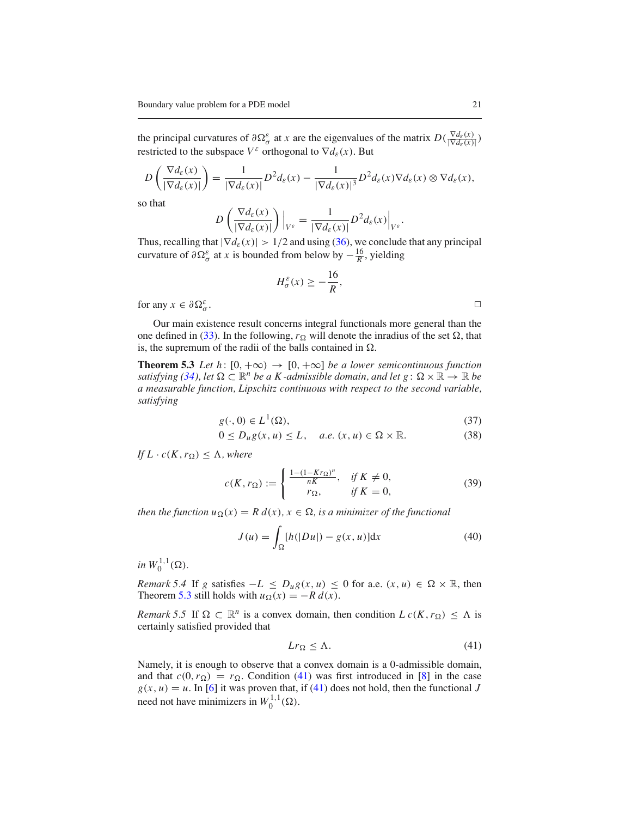the principal curvatures of  $\partial \Omega^{\varepsilon}_{\sigma}$  at *x* are the eigenvalues of the matrix  $D(\frac{\nabla d_{\varepsilon}(x)}{|\nabla d_{\varepsilon}(x)|})$ restricted to the subspace  $V^{\varepsilon}$  orthogonal to  $\nabla d_{\varepsilon}(x)$ . But

$$
D\left(\frac{\nabla d_{\varepsilon}(x)}{|\nabla d_{\varepsilon}(x)|}\right) = \frac{1}{|\nabla d_{\varepsilon}(x)|}D^2 d_{\varepsilon}(x) - \frac{1}{|\nabla d_{\varepsilon}(x)|^3}D^2 d_{\varepsilon}(x)\nabla d_{\varepsilon}(x) \otimes \nabla d_{\varepsilon}(x),
$$

so that

$$
D\left(\frac{\nabla d_{\varepsilon}(x)}{|\nabla d_{\varepsilon}(x)|}\right)\Big|_{V^{\varepsilon}} = \frac{1}{|\nabla d_{\varepsilon}(x)|}D^2 d_{\varepsilon}(x)\Big|_{V^{\varepsilon}}.
$$

Thus, recalling that  $|\nabla d_{\varepsilon}(x)| > 1/2$  and using [\(36\)](#page-19-0), we conclude that any principal curvature of  $\partial \Omega^{\varepsilon}_{\sigma}$  at *x* is bounded from below by  $-\frac{16}{R}$ , yielding

<span id="page-20-0"></span>
$$
H_{\sigma}^{\varepsilon}(x) \ge -\frac{16}{R},
$$

for any  $x \in \partial \Omega^{\varepsilon}_{\sigma}$ .  $\sigma$  .

Our main existence result concerns integral functionals more general than the one defined in [\(33\)](#page-17-1). In the following,  $r_{\Omega}$  will denote the inradius of the set  $\Omega$ , that is, the supremum of the radii of the balls contained in  $\Omega$ .

**Theorem 5.3** *Let h*:  $[0, +\infty) \rightarrow [0, +\infty]$  *be a lower semicontinuous function satisfying [\(34\)](#page-17-2), let*  $\Omega \subset \mathbb{R}^n$  *be a K-admissible domain, and let*  $g: \Omega \times \mathbb{R} \to \mathbb{R}$  *be a measurable function, Lipschitz continuous with respect to the second variable, satisfying*

$$
g(\cdot,0) \in L^1(\Omega),\tag{37}
$$

$$
0 \le D_u g(x, u) \le L, \quad a.e. \ (x, u) \in \Omega \times \mathbb{R}.
$$
 (38)

<span id="page-20-3"></span><span id="page-20-2"></span>*If*  $L \cdot c(K, r_{\Omega}) \leq \Lambda$ , where

$$
c(K, r_{\Omega}) := \begin{cases} \frac{1 - (1 - Kr_{\Omega})^n}{nK}, & \text{if } K \neq 0, \\ r_{\Omega}, & \text{if } K = 0, \end{cases}
$$
 (39)

*then the function*  $u_{\Omega}(x) = R d(x), x \in \Omega$ *, is a minimizer of the functional* 

$$
J(u) = \int_{\Omega} [h(|Du|) - g(x, u)] \mathrm{d}x \tag{40}
$$

 $in W_0^{1,1}(\Omega)$ .

*Remark 5.4* If *g* satisfies  $-L \leq D_u g(x, u) \leq 0$  for a.e.  $(x, u) \in \Omega \times \mathbb{R}$ , then Theorem [5.3](#page-20-0) still holds with  $u_{\Omega}(x) = -R d(x)$ .

<span id="page-20-1"></span>*Remark 5.5* If  $\Omega \subset \mathbb{R}^n$  is a convex domain, then condition  $L c(K, r_{\Omega}) \leq \Lambda$  is certainly satisfied provided that

$$
Lr_{\Omega} \leq \Lambda. \tag{41}
$$

Namely, it is enough to observe that a convex domain is a 0-admissible domain, and that  $c(0, r_{\Omega}) = r_{\Omega}$ . Condition [\(41\)](#page-20-1) was first introduced in [\[8](#page-26-7)] in the case  $g(x, u) = u$ . In [\[6\]](#page-26-8) it was proven that, if [\(41\)](#page-20-1) does not hold, then the functional *J* need not have minimizers in  $W_0^{1,1}(\Omega)$ .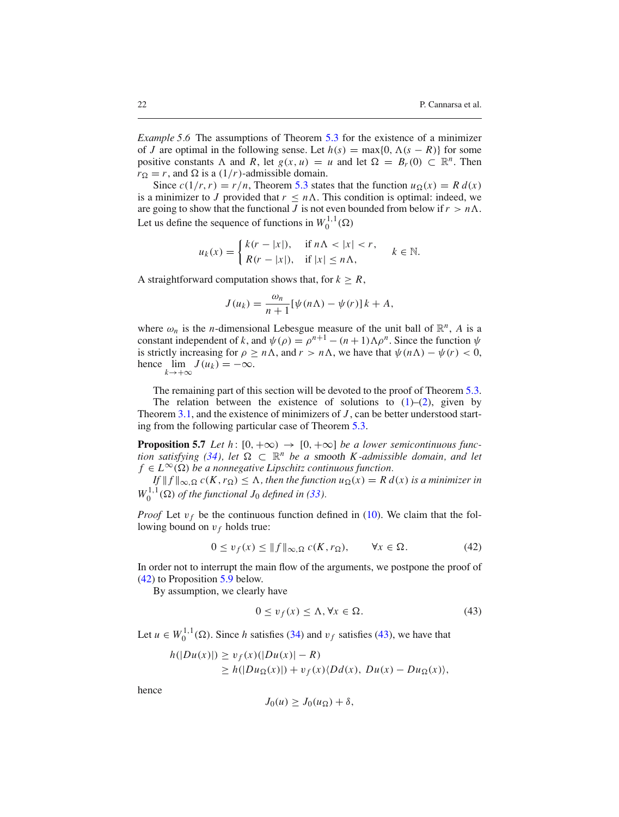*Example 5.6* The assumptions of Theorem [5.3](#page-20-0) for the existence of a minimizer of *J* are optimal in the following sense. Let  $h(s) = \max\{0, \Lambda(s - R)\}\)$  for some positive constants  $\Lambda$  and  $R$ , let  $g(x, u) = u$  and let  $\Omega = B_r(0) \subset \mathbb{R}^n$ . Then  $r_{\Omega} = r$ , and  $\Omega$  is a (1/*r*)-admissible domain.

Since  $c(1/r, r) = r/n$ , Theorem [5.3](#page-20-0) states that the function  $u_{\Omega}(x) = R d(x)$ is a minimizer to *J* provided that  $r \leq n\Lambda$ . This condition is optimal: indeed, we are going to show that the functional *J* is not even bounded from below if  $r > n\Lambda$ . Let us define the sequence of functions in  $W_0^{1,1}(\Omega)$ 

$$
u_k(x) = \begin{cases} k(r - |x|), & \text{if } n \Lambda < |x| < r, \\ R(r - |x|), & \text{if } |x| \le n\Lambda, \end{cases} \quad k \in \mathbb{N}.
$$

A straightforward computation shows that, for  $k \geq R$ ,

$$
J(u_k) = \frac{\omega_n}{n+1} [\psi(n\Lambda) - \psi(r)] k + A,
$$

where  $\omega_n$  is the *n*-dimensional Lebesgue measure of the unit ball of  $\mathbb{R}^n$ , *A* is a constant independent of *k*, and  $\psi(\rho) = \rho^{n+1} - (n+1)\Lambda \rho^n$ . Since the function  $\psi$ is strictly increasing for  $\rho \geq n\Lambda$ , and  $r > n\Lambda$ , we have that  $\psi(n\Lambda) - \psi(r) < 0$ , hence  $\lim_{k \to +\infty} J(u_k) = -\infty$ .

The remaining part of this section will be devoted to the proof of Theorem [5.3.](#page-20-0) The relation between the existence of solutions to  $(1)$ – $(2)$ , given by Theorem [3.1,](#page-5-0) and the existence of minimizers of *J* , can be better understood starting from the following particular case of Theorem [5.3.](#page-20-0)

**Proposition 5.7** *Let h*:  $[0, +\infty) \rightarrow [0, +\infty]$  *be a lower semicontinuous func-tion satisfying [\(34\)](#page-17-2), let*  $\Omega \subset \mathbb{R}^n$  *be a smooth K-admissible domain, and let*  $f \in L^{\infty}(\Omega)$  *be a nonnegative Lipschitz continuous function.* 

 $If \Vert f \Vert_{\infty, \Omega} c(K, r_{\Omega}) \leq \Lambda$ , then the function  $u_{\Omega}(x) = R d(x)$  *is a minimizer in*  $W_0^{1,1}(\Omega)$  *of the functional*  $J_0$  *defined in* [\(33\)](#page-17-1)*.* 

*Proof* Let  $v_f$  be the continuous function defined in [\(10\)](#page-5-1). We claim that the following bound on  $v_f$  holds true:

<span id="page-21-0"></span>
$$
0 \le v_f(x) \le ||f||_{\infty, \Omega} c(K, r_{\Omega}), \qquad \forall x \in \Omega.
$$
 (42)

In order not to interrupt the main flow of the arguments, we postpone the proof of [\(42\)](#page-21-0) to Proposition [5.9](#page-23-0) below.

By assumption, we clearly have

<span id="page-21-1"></span>
$$
0 \le v_f(x) \le \Lambda, \forall x \in \Omega.
$$
 (43)

Let  $u \in W_0^{1,1}(\Omega)$ . Since *h* satisfies [\(34\)](#page-17-2) and  $v_f$  satisfies [\(43\)](#page-21-1), we have that

$$
h(|Du(x)|) \ge v_f(x)(|Du(x)| - R)
$$
  
\n
$$
\ge h(|Du_{\Omega}(x)|) + v_f(x)\langle Dd(x), Du(x) - Du_{\Omega}(x)\rangle,
$$

hence

$$
J_0(u) \geq J_0(u_{\Omega}) + \delta,
$$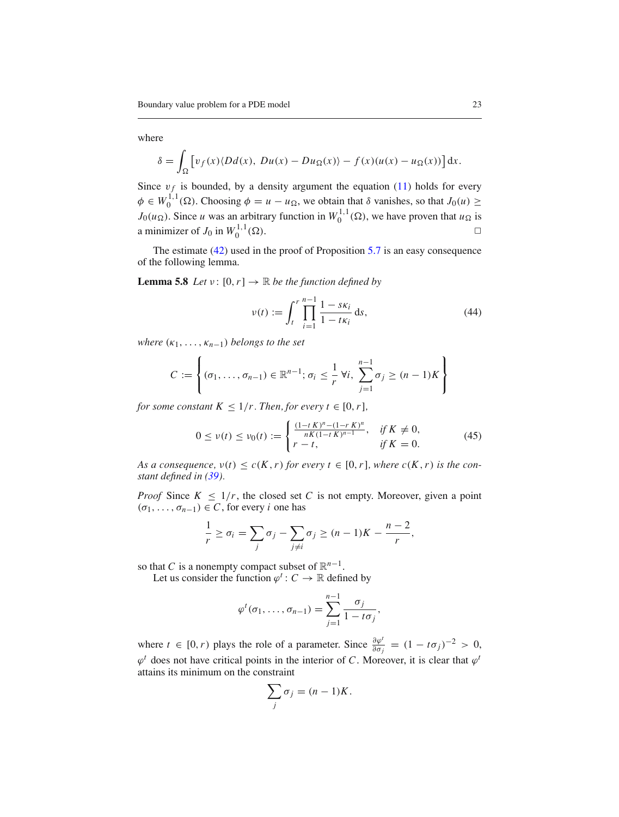## where

$$
\delta = \int_{\Omega} \left[ v_f(x) \langle Dd(x), Du(x) - Du_{\Omega}(x) \rangle - f(x) (u(x) - u_{\Omega}(x)) \right] dx.
$$

Since  $v_f$  is bounded, by a density argument the equation [\(11\)](#page-6-3) holds for every  $\phi \in W_0^{1,1}(\Omega)$ . Choosing  $\phi = u - u_{\Omega}$ , we obtain that  $\delta$  vanishes, so that  $J_0(u) \geq$  $J_0(u_{\Omega})$ . Since *u* was an arbitrary function in  $W_0^{1,1}(\Omega)$ , we have proven that  $u_{\Omega}$  is a minimizer of  $J_0$  in  $W_0^{1,1}(\Omega)$ .  $\bigcup_{0}^{1,1,1}(\Omega).$ 

<span id="page-22-2"></span>The estimate [\(42\)](#page-21-0) used in the proof of Proposition [5.7](#page-4-4) is an easy consequence of the following lemma.

**Lemma 5.8** *Let*  $v : [0, r] \rightarrow \mathbb{R}$  *be the function defined by* 

<span id="page-22-0"></span>
$$
\nu(t) := \int_{t}^{r} \prod_{i=1}^{n-1} \frac{1 - s\kappa_{i}}{1 - t\kappa_{i}} ds,
$$
\n(44)

*where*  $(\kappa_1, \ldots, \kappa_{n-1})$  *belongs to the set* 

$$
C := \left\{ (\sigma_1, \ldots, \sigma_{n-1}) \in \mathbb{R}^{n-1}; \sigma_i \leq \frac{1}{r} \forall i, \sum_{j=1}^{n-1} \sigma_j \geq (n-1)K \right\}
$$

*for some constant*  $K \leq 1/r$ *. Then, for every*  $t \in [0, r]$ *,* 

<span id="page-22-1"></span>
$$
0 \le \nu(t) \le \nu_0(t) := \begin{cases} \frac{(1-t K)^n - (1-r K)^n}{nK(1-t K)^{n-1}}, & \text{if } K \neq 0, \\ r - t, & \text{if } K = 0. \end{cases} \tag{45}
$$

*As a consequence,*  $v(t) \le c(K, r)$  *for every*  $t \in [0, r]$ *, where*  $c(K, r)$  *is the constant defined in [\(39\)](#page-20-2).*

*Proof* Since  $K \leq 1/r$ , the closed set *C* is not empty. Moreover, given a point  $(\sigma_1, \ldots, \sigma_{n-1}) \in C$ , for every *i* one has

$$
\frac{1}{r} \geq \sigma_i = \sum_j \sigma_j - \sum_{j \neq i} \sigma_j \geq (n-1)K - \frac{n-2}{r},
$$

so that *C* is a nonempty compact subset of  $\mathbb{R}^{n-1}$ .

Let us consider the function  $\varphi^t$  :  $C \to \mathbb{R}$  defined by

$$
\varphi^t(\sigma_1,\ldots,\sigma_{n-1})=\sum_{j=1}^{n-1}\frac{\sigma_j}{1-t\sigma_j},
$$

where  $t \in [0, r)$  plays the role of a parameter. Since  $\frac{\partial \varphi^t}{\partial \sigma_j} = (1 - t\sigma_j)^{-2} > 0$ ,  $\varphi^t$  does not have critical points in the interior of *C*. Moreover, it is clear that  $\varphi^t$ attains its minimum on the constraint

$$
\sum_j \sigma_j = (n-1)K.
$$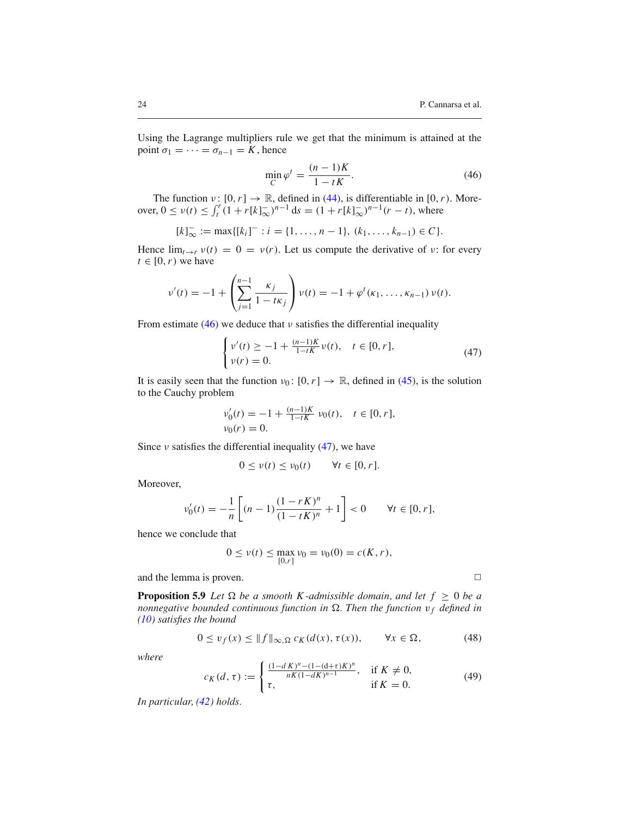Using the Lagrange multipliers rule we get that the minimum is attained at the point  $\sigma_1 = \cdots = \sigma_{n-1} = K$ , hence

<span id="page-23-1"></span>
$$
\min_{C} \varphi^{t} = \frac{(n-1)K}{1 - tK}.
$$
\n(46)

The function  $v: [0, r] \to \mathbb{R}$ , defined in [\(44\)](#page-22-0), is differentiable in [0, *r*). Moreover,  $0 \le v(t) \le \int_t^r (1 + r[k]_{\infty}^-)^{n-1} ds = (1 + r[k]_{\infty}^-)^{n-1}(r - t)$ , where

$$
[k]_{\infty}^- := \max\{[k_i]^- : i = \{1, \ldots, n-1\}, (k_1, \ldots, k_{n-1}) \in C\}.
$$

Hence  $\lim_{t\to r} v(t) = 0 = v(r)$ . Let us compute the derivative of v: for every  $t \in [0, r)$  we have

$$
\nu'(t) = -1 + \left(\sum_{j=1}^{n-1} \frac{\kappa_j}{1 - t\kappa_j}\right) \nu(t) = -1 + \varphi^t(\kappa_1, \ldots, \kappa_{n-1}) \nu(t).
$$

From estimate [\(46\)](#page-23-1) we deduce that  $\nu$  satisfies the differential inequality

<span id="page-23-2"></span>
$$
\begin{cases} v'(t) \ge -1 + \frac{(n-1)K}{1-tK}v(t), & t \in [0, r], \\ v(r) = 0. \end{cases}
$$
\n(47)

It is easily seen that the function  $v_0: [0, r] \to \mathbb{R}$ , defined in [\(45\)](#page-22-1), is the solution to the Cauchy problem

$$
\nu'_0(t) = -1 + \frac{(n-1)K}{1-tK} \nu_0(t), \quad t \in [0, r],
$$
  

$$
\nu_0(r) = 0.
$$

Since  $\nu$  satisfies the differential inequality [\(47\)](#page-23-2), we have

$$
0 \le v(t) \le v_0(t) \qquad \forall t \in [0, r].
$$

Moreover,

$$
\nu_0'(t) = -\frac{1}{n} \left[ (n-1) \frac{(1 - rK)^n}{(1 - tK)^n} + 1 \right] < 0 \quad \forall t \in [0, r],
$$

hence we conclude that

$$
0 \le v(t) \le \max_{[0,r]} v_0 = v_0(0) = c(K,r),
$$

and the lemma is proven.  $\Box$ 

<span id="page-23-0"></span>**Proposition 5.9** *Let*  $\Omega$  *be a smooth K-admissible domain, and let*  $f \geq 0$  *be a nonnegative bounded continuous function in*  $\Omega$ *. Then the function*  $v_f$  *defined in [\(10\)](#page-5-1) satisfies the bound*

$$
0 \le v_f(x) \le ||f||_{\infty, \Omega} c_K(d(x), \tau(x)), \qquad \forall x \in \Omega,
$$
 (48)

*where*

$$
c_K(d,\tau) := \begin{cases} \frac{(1-dK)^n - (1-(d+\tau)K)^n}{nK(1-dK)^{n-1}}, & \text{if } K \neq 0, \\ \tau, & \text{if } K = 0. \end{cases}
$$
(49)

*In particular, [\(42\)](#page-21-0) holds.*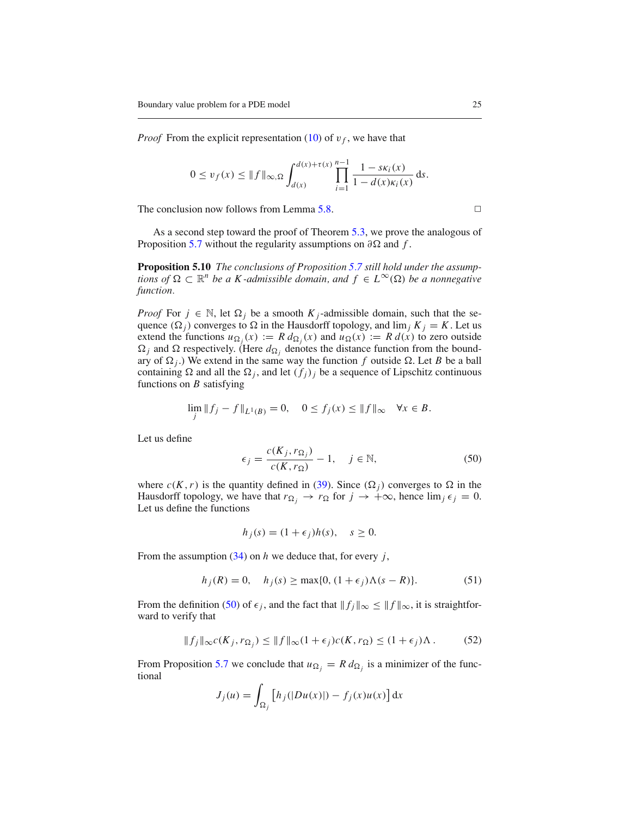*Proof* From the explicit representation [\(10\)](#page-5-1) of  $v_f$ , we have that

$$
0 \le v_f(x) \le \|f\|_{\infty,\Omega} \int_{d(x)}^{d(x)+\tau(x)} \prod_{i=1}^{n-1} \frac{1 - s\kappa_i(x)}{1 - d(x)\kappa_i(x)} dx.
$$

The conclusion now follows from Lemma [5.8.](#page-22-2)  $\Box$ 

<span id="page-24-1"></span>As a second step toward the proof of Theorem [5.3,](#page-20-0) we prove the analogous of Proposition [5.7](#page-4-4) without the regularity assumptions on  $\partial \Omega$  and f.

**Proposition 5.10** *The conclusions of Proposition [5.7](#page-4-4) still hold under the assumptions of*  $\Omega \subset \mathbb{R}^n$  *be a K-admissible domain, and*  $f \in L^\infty(\Omega)$  *be a nonnegative function.*

*Proof* For  $j \in \mathbb{N}$ , let  $\Omega_j$  be a smooth  $K_j$ -admissible domain, such that the sequence  $(\Omega_i)$  converges to  $\Omega$  in the Hausdorff topology, and  $\lim_j K_j = K$ . Let us extend the functions  $u_{\Omega_i}(x) := R d_{\Omega_i}(x)$  and  $u_{\Omega}(x) := R d(x)$  to zero outside  $\Omega_j$  and  $\Omega$  respectively. (Here  $d_{\Omega_j}$  denotes the distance function from the boundary of  $\Omega_i$ .) We extend in the same way the function f outside  $\Omega$ . Let B be a ball containing  $\Omega$  and all the  $\Omega_j$ , and let  $(f_j)_j$  be a sequence of Lipschitz continuous functions on *B* satisfying

$$
\lim_{j} \|f_j - f\|_{L^1(B)} = 0, \quad 0 \le f_j(x) \le \|f\|_{\infty} \quad \forall x \in B.
$$

<span id="page-24-0"></span>Let us define

$$
\epsilon_j = \frac{c(K_j, r_{\Omega_j})}{c(K, r_{\Omega})} - 1, \quad j \in \mathbb{N},
$$
\n(50)

where  $c(K, r)$  is the quantity defined in [\(39\)](#page-20-2). Since  $(\Omega_j)$  converges to  $\Omega$  in the Hausdorff topology, we have that  $r_{\Omega_i} \to r_{\Omega}$  for  $j \to +\infty$ , hence  $\lim_j \epsilon_j = 0$ . Let us define the functions

$$
h_j(s) = (1 + \epsilon_j)h(s), \quad s \ge 0.
$$

From the assumption [\(34\)](#page-17-2) on *h* we deduce that, for every *j*,

$$
h_j(R) = 0, \quad h_j(s) \ge \max\{0, (1 + \epsilon_j)\Lambda(s - R)\}.
$$
 (51)

From the definition [\(50\)](#page-24-0) of  $\epsilon_j$ , and the fact that  $||f_j||_{\infty} \le ||f||_{\infty}$ , it is straightforward to verify that

$$
||f_j||_{\infty}c(K_j, r_{\Omega_j}) \le ||f||_{\infty}(1+\epsilon_j)c(K, r_{\Omega}) \le (1+\epsilon_j)\Lambda. \tag{52}
$$

From Proposition [5.7](#page-4-4) we conclude that  $u_{\Omega_i} = R d_{\Omega_i}$  is a minimizer of the functional

$$
J_j(u) = \int_{\Omega_j} \left[ h_j(|Du(x)|) - f_j(x)u(x) \right] dx
$$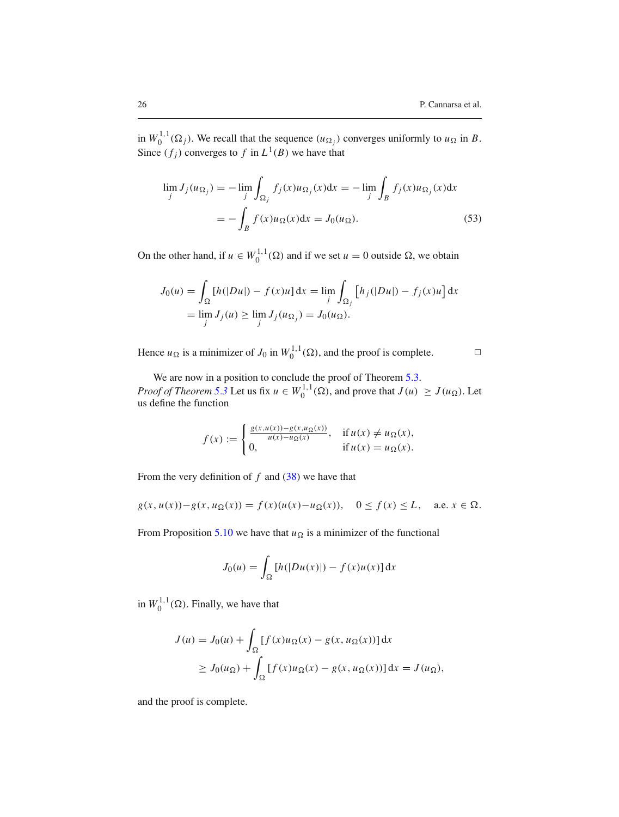in  $W_0^{1,1}(\Omega_j)$ . We recall that the sequence  $(u_{\Omega_j})$  converges uniformly to  $u_{\Omega}$  in *B*. Since  $(f_j)$  converges to  $f$  in  $L^1(B)$  we have that

$$
\lim_{j} J_j(u_{\Omega_j}) = -\lim_{j} \int_{\Omega_j} f_j(x) u_{\Omega_j}(x) dx = -\lim_{j} \int_B f_j(x) u_{\Omega_j}(x) dx
$$

$$
= -\int_B f(x) u_{\Omega}(x) dx = J_0(u_{\Omega}). \tag{53}
$$

On the other hand, if  $u \in W_0^{1,1}(\Omega)$  and if we set  $u = 0$  outside  $\Omega$ , we obtain

$$
J_0(u) = \int_{\Omega} [h(|Du|) - f(x)u] dx = \lim_{j} \int_{\Omega_j} [h_j(|Du|) - f_j(x)u] dx
$$
  
=  $\lim_{j} J_j(u) \ge \lim_{j} J_j(u_{\Omega_j}) = J_0(u_{\Omega}).$ 

Hence  $u_{\Omega}$  is a minimizer of  $J_0$  in  $W_0^{1,1}(\Omega)$ , and the proof is complete.  $\square$ 

We are now in a position to conclude the proof of Theorem [5.3.](#page-20-0) *Proof of Theorem [5.3](#page-20-0)* Let us fix  $u \in W_0^{1,1}(\Omega)$ , and prove that  $J(u) \ge J(u_{\Omega})$ . Let us define the function

$$
f(x) := \begin{cases} \frac{g(x, u(x)) - g(x, u_{\Omega}(x))}{u(x) - u_{\Omega}(x)}, & \text{if } u(x) \neq u_{\Omega}(x), \\ 0, & \text{if } u(x) = u_{\Omega}(x). \end{cases}
$$

From the very definition of *f* and [\(38\)](#page-20-3) we have that

$$
g(x, u(x)) - g(x, u\Omega(x)) = f(x)(u(x) - u\Omega(x)), \quad 0 \le f(x) \le L, \quad \text{a.e. } x \in \Omega.
$$

From Proposition [5.10](#page-24-1) we have that  $u_{\Omega}$  is a minimizer of the functional

$$
J_0(u) = \int_{\Omega} [h(|Du(x)|) - f(x)u(x)] \, \mathrm{d}x
$$

in  $W_0^{1,1}(\Omega)$ . Finally, we have that

$$
J(u) = J_0(u) + \int_{\Omega} [f(x)u_{\Omega}(x) - g(x, u_{\Omega}(x))] dx
$$
  
\n
$$
\geq J_0(u_{\Omega}) + \int_{\Omega} [f(x)u_{\Omega}(x) - g(x, u_{\Omega}(x))] dx = J(u_{\Omega}),
$$

and the proof is complete.